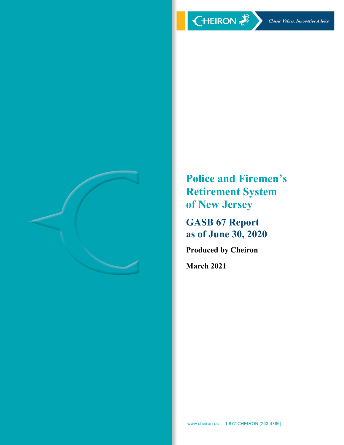

**Police and Firemen's Retirement System of New Jersey** 

**GASB 67 Report as of June 30, 2020** 

**Produced by Cheiron** 

**March 2021**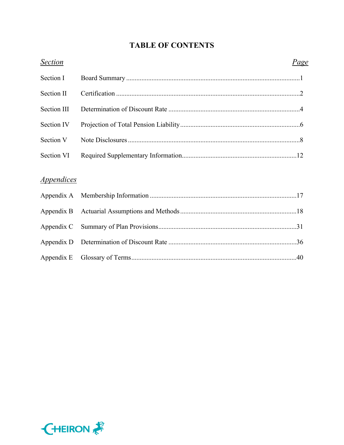# **TABLE OF CONTENTS**

| <b>Section</b>                  | <u>Page</u> |
|---------------------------------|-------------|
| Section I                       |             |
| Section II                      |             |
| <b>Section III</b>              |             |
| Section IV                      |             |
| Section V                       |             |
| Section VI                      |             |
|                                 |             |
| <i><u><b>Appendices</b></u></i> |             |
| Appendix A                      |             |
| Appendix B                      |             |
| Appendix C                      |             |
| Appendix D                      |             |
| Appendix E                      |             |

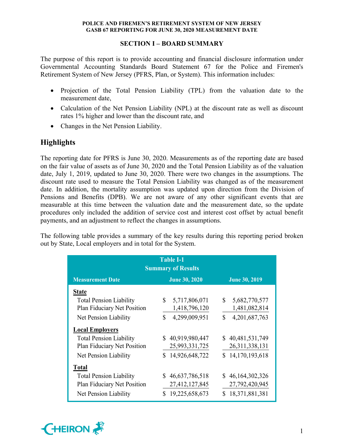# **SECTION I – BOARD SUMMARY**

The purpose of this report is to provide accounting and financial disclosure information under Governmental Accounting Standards Board Statement 67 for the Police and Firemen's Retirement System of New Jersey (PFRS, Plan, or System). This information includes:

- Projection of the Total Pension Liability (TPL) from the valuation date to the measurement date,
- Calculation of the Net Pension Liability (NPL) at the discount rate as well as discount rates 1% higher and lower than the discount rate, and
- Changes in the Net Pension Liability.

# **Highlights**

The reporting date for PFRS is June 30, 2020. Measurements as of the reporting date are based on the fair value of assets as of June 30, 2020 and the Total Pension Liability as of the valuation date, July 1, 2019, updated to June 30, 2020. There were two changes in the assumptions. The discount rate used to measure the Total Pension Liability was changed as of the measurement date. In addition, the mortality assumption was updated upon direction from the Division of Pensions and Benefits (DPB). We are not aware of any other significant events that are measurable at this time between the valuation date and the measurement date, so the update procedures only included the addition of service cost and interest cost offset by actual benefit payments, and an adjustment to reflect the changes in assumptions.

The following table provides a summary of the key results during this reporting period broken out by State, Local employers and in total for the System.

| <b>Table I-1</b><br><b>Summary of Results</b>                                          |                                                      |                                                            |  |  |  |  |  |  |
|----------------------------------------------------------------------------------------|------------------------------------------------------|------------------------------------------------------------|--|--|--|--|--|--|
| <b>Measurement Date</b>                                                                | <b>June 30, 2020</b>                                 |                                                            |  |  |  |  |  |  |
| <b>State</b>                                                                           |                                                      |                                                            |  |  |  |  |  |  |
| <b>Total Pension Liability</b><br>Plan Fiduciary Net Position                          | $\mathbb{S}^-$<br>5,717,806,071<br>1,418,796,120     | $\mathbb{S}$<br>5,682,770,577<br>1,481,082,814             |  |  |  |  |  |  |
| Net Pension Liability                                                                  | 4,299,009,951<br>\$                                  | 4,201,687,763<br>\$                                        |  |  |  |  |  |  |
| <b>Local Employers</b>                                                                 |                                                      |                                                            |  |  |  |  |  |  |
| <b>Total Pension Liability</b><br>Plan Fiduciary Net Position                          | \$40,919,980,447<br>25,993,331,725                   | \$40,481,531,749<br>26,311,338,131                         |  |  |  |  |  |  |
| Net Pension Liability                                                                  | \$14,926,648,722                                     | 14, 170, 193, 618<br>S.                                    |  |  |  |  |  |  |
| <b>Total</b>                                                                           |                                                      |                                                            |  |  |  |  |  |  |
| <b>Total Pension Liability</b><br>Plan Fiduciary Net Position<br>Net Pension Liability | \$46,637,786,518<br>27,412,127,845<br>19,225,658,673 | \$46,164,302,326<br>27,792,420,945<br>18,371,881,381<br>\$ |  |  |  |  |  |  |

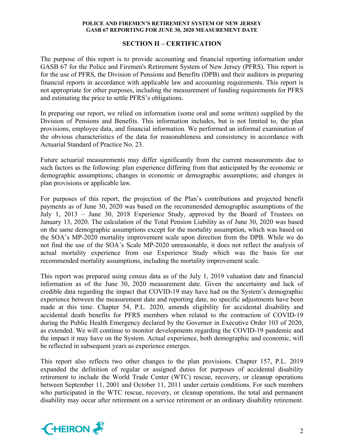# **SECTION II – CERTIFICATION**

The purpose of this report is to provide accounting and financial reporting information under GASB 67 for the Police and Firemen's Retirement System of New Jersey (PFRS). This report is for the use of PFRS, the Division of Pensions and Benefits (DPB) and their auditors in preparing financial reports in accordance with applicable law and accounting requirements. This report is not appropriate for other purposes, including the measurement of funding requirements for PFRS and estimating the price to settle PFRS's obligations.

In preparing our report, we relied on information (some oral and some written) supplied by the Division of Pensions and Benefits. This information includes, but is not limited to, the plan provisions, employee data, and financial information. We performed an informal examination of the obvious characteristics of the data for reasonableness and consistency in accordance with Actuarial Standard of Practice No. 23.

Future actuarial measurements may differ significantly from the current measurements due to such factors as the following: plan experience differing from that anticipated by the economic or demographic assumptions; changes in economic or demographic assumptions; and changes in plan provisions or applicable law.

For purposes of this report, the projection of the Plan's contributions and projected benefit payments as of June 30, 2020 was based on the recommended demographic assumptions of the July 1, 2013 – June 30, 2018 Experience Study, approved by the Board of Trustees on January 13, 2020. The calculation of the Total Pension Liability as of June 30, 2020 was based on the same demographic assumptions except for the mortality assumption, which was based on the SOA's MP-2020 mortality improvement scale upon direction from the DPB. While we do not find the use of the SOA's Scale MP-2020 unreasonable, it does not reflect the analysis of actual mortality experience from our Experience Study which was the basis for our recommended mortality assumptions, including the mortality improvement scale.

This report was prepared using census data as of the July 1, 2019 valuation date and financial information as of the June 30, 2020 measurement date. Given the uncertainty and lack of credible data regarding the impact that COVID-19 may have had on the System's demographic experience between the measurement date and reporting date, no specific adjustments have been made at this time. Chapter 54, P.L. 2020, amends eligibility for accidental disability and accidental death benefits for PFRS members when related to the contraction of COVID-19 during the Public Health Emergency declared by the Governor in Executive Order 103 of 2020, as extended. We will continue to monitor developments regarding the COVID-19 pandemic and the impact it may have on the System. Actual experience, both demographic and economic, will be reflected in subsequent years as experience emerges.

This report also reflects two other changes to the plan provisions. Chapter 157, P.L. 2019 expanded the definition of regular or assigned duties for purposes of accidental disability retirement to include the World Trade Center (WTC) rescue, recovery, or cleanup operations between September 11, 2001 and October 11, 2011 under certain conditions. For such members who participated in the WTC rescue, recovery, or cleanup operations, the total and permanent disability may occur after retirement on a service retirement or an ordinary disability retirement.

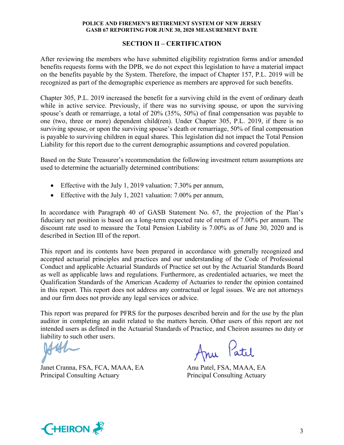# **SECTION II – CERTIFICATION**

After reviewing the members who have submitted eligibility registration forms and/or amended benefits requests forms with the DPB, we do not expect this legislation to have a material impact on the benefits payable by the System. Therefore, the impact of Chapter 157, P.L. 2019 will be recognized as part of the demographic experience as members are approved for such benefits.

Chapter 305, P.L. 2019 increased the benefit for a surviving child in the event of ordinary death while in active service. Previously, if there was no surviving spouse, or upon the surviving spouse's death or remarriage, a total of 20% (35%, 50%) of final compensation was payable to one (two, three or more) dependent child(ren). Under Chapter 305, P.L. 2019, if there is no surviving spouse, or upon the surviving spouse's death or remarriage, 50% of final compensation is payable to surviving children in equal shares. This legislation did not impact the Total Pension Liability for this report due to the current demographic assumptions and covered population.

Based on the State Treasurer's recommendation the following investment return assumptions are used to determine the actuarially determined contributions:

- Effective with the July 1, 2019 valuation: 7.30% per annum,
- Effective with the July 1, 2021 valuation: 7.00% per annum,

In accordance with Paragraph 40 of GASB Statement No. 67, the projection of the Plan's fiduciary net position is based on a long-term expected rate of return of 7.00% per annum. The discount rate used to measure the Total Pension Liability is 7.00% as of June 30, 2020 and is described in Section III of the report.

This report and its contents have been prepared in accordance with generally recognized and accepted actuarial principles and practices and our understanding of the Code of Professional Conduct and applicable Actuarial Standards of Practice set out by the Actuarial Standards Board as well as applicable laws and regulations. Furthermore, as credentialed actuaries, we meet the Qualification Standards of the American Academy of Actuaries to render the opinion contained in this report. This report does not address any contractual or legal issues. We are not attorneys and our firm does not provide any legal services or advice.

This report was prepared for PFRS for the purposes described herein and for the use by the plan auditor in completing an audit related to the matters herein. Other users of this report are not intended users as defined in the Actuarial Standards of Practice, and Cheiron assumes no duty or liability to such other users.

Janet Cranna, FSA, FCA, MAAA, EA Anu Patel, FSA, MAAA, EA Principal Consulting Actuary Principal Consulting Actuary

Anu Patil

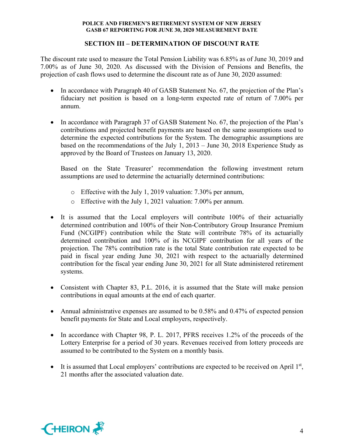# **SECTION III – DETERMINATION OF DISCOUNT RATE**

The discount rate used to measure the Total Pension Liability was 6.85% as of June 30, 2019 and 7.00% as of June 30, 2020. As discussed with the Division of Pensions and Benefits, the projection of cash flows used to determine the discount rate as of June 30, 2020 assumed:

- In accordance with Paragraph 40 of GASB Statement No. 67, the projection of the Plan's fiduciary net position is based on a long-term expected rate of return of 7.00% per annum.
- In accordance with Paragraph 37 of GASB Statement No. 67, the projection of the Plan's contributions and projected benefit payments are based on the same assumptions used to determine the expected contributions for the System. The demographic assumptions are based on the recommendations of the July 1, 2013 – June 30, 2018 Experience Study as approved by the Board of Trustees on January 13, 2020.

Based on the State Treasurer' recommendation the following investment return assumptions are used to determine the actuarially determined contributions:

- o Effective with the July 1, 2019 valuation: 7.30% per annum,
- o Effective with the July 1, 2021 valuation: 7.00% per annum.
- It is assumed that the Local employers will contribute 100% of their actuarially determined contribution and 100% of their Non-Contributory Group Insurance Premium Fund (NCGIPF) contribution while the State will contribute 78% of its actuarially determined contribution and 100% of its NCGIPF contribution for all years of the projection. The 78% contribution rate is the total State contribution rate expected to be paid in fiscal year ending June 30, 2021 with respect to the actuarially determined contribution for the fiscal year ending June 30, 2021 for all State administered retirement systems.
- Consistent with Chapter 83, P.L. 2016, it is assumed that the State will make pension contributions in equal amounts at the end of each quarter.
- Annual administrative expenses are assumed to be 0.58% and 0.47% of expected pension benefit payments for State and Local employers, respectively.
- In accordance with Chapter 98, P. L. 2017, PFRS receives 1.2% of the proceeds of the Lottery Enterprise for a period of 30 years. Revenues received from lottery proceeds are assumed to be contributed to the System on a monthly basis.
- It is assumed that Local employers' contributions are expected to be received on April  $1<sup>st</sup>$ , 21 months after the associated valuation date.

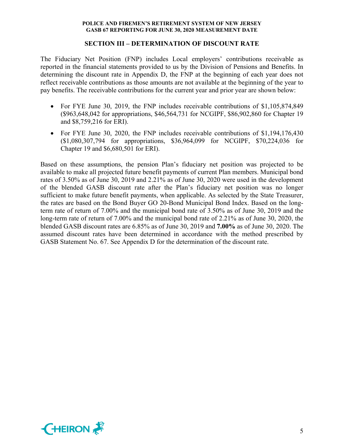# **SECTION III – DETERMINATION OF DISCOUNT RATE**

The Fiduciary Net Position (FNP) includes Local employers' contributions receivable as reported in the financial statements provided to us by the Division of Pensions and Benefits. In determining the discount rate in Appendix D, the FNP at the beginning of each year does not reflect receivable contributions as those amounts are not available at the beginning of the year to pay benefits. The receivable contributions for the current year and prior year are shown below:

- For FYE June 30, 2019, the FNP includes receivable contributions of \$1,105,874,849 (\$963,648,042 for appropriations, \$46,564,731 for NCGIPF, \$86,902,860 for Chapter 19 and \$8,759,216 for ERI).
- For FYE June 30, 2020, the FNP includes receivable contributions of \$1,194,176,430 (\$1,080,307,794 for appropriations, \$36,964,099 for NCGIPF, \$70,224,036 for Chapter 19 and \$6,680,501 for ERI).

Based on these assumptions, the pension Plan's fiduciary net position was projected to be available to make all projected future benefit payments of current Plan members. Municipal bond rates of 3.50% as of June 30, 2019 and 2.21% as of June 30, 2020 were used in the development of the blended GASB discount rate after the Plan's fiduciary net position was no longer sufficient to make future benefit payments, when applicable. As selected by the State Treasurer, the rates are based on the Bond Buyer GO 20-Bond Municipal Bond Index. Based on the longterm rate of return of 7.00% and the municipal bond rate of 3.50% as of June 30, 2019 and the long-term rate of return of 7.00% and the municipal bond rate of 2.21% as of June 30, 2020, the blended GASB discount rates are 6.85% as of June 30, 2019 and **7.00%** as of June 30, 2020. The assumed discount rates have been determined in accordance with the method prescribed by GASB Statement No. 67. See Appendix D for the determination of the discount rate.

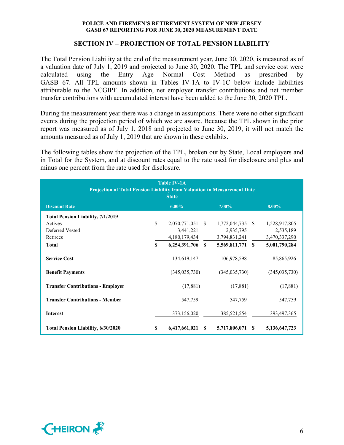# **SECTION IV – PROJECTION OF TOTAL PENSION LIABILITY**

The Total Pension Liability at the end of the measurement year, June 30, 2020, is measured as of a valuation date of July 1, 2019 and projected to June 30, 2020. The TPL and service cost were calculated using the Entry Age Normal Cost Method as prescribed by GASB 67. All TPL amounts shown in Tables IV-1A to IV-1C below include liabilities attributable to the NCGIPF. In addition, net employer transfer contributions and net member transfer contributions with accumulated interest have been added to the June 30, 2020 TPL.

During the measurement year there was a change in assumptions. There were no other significant events during the projection period of which we are aware. Because the TPL shown in the prior report was measured as of July 1, 2018 and projected to June 30, 2019, it will not match the amounts measured as of July 1, 2019 that are shown in these exhibits.

The following tables show the projection of the TPL, broken out by State, Local employers and in Total for the System, and at discount rates equal to the rate used for disclosure and plus and minus one percent from the rate used for disclosure.

| <b>Table IV-1A</b><br>Projection of Total Pension Liability from Valuation to Measurement Date<br><b>State</b> |               |                                                |  |                                                |              |                                             |  |
|----------------------------------------------------------------------------------------------------------------|---------------|------------------------------------------------|--|------------------------------------------------|--------------|---------------------------------------------|--|
| <b>Discount Rate</b>                                                                                           |               | $6.00\%$                                       |  | $7.00\%$                                       |              | $8.00\%$                                    |  |
| <b>Total Pension Liability, 7/1/2019</b>                                                                       |               |                                                |  |                                                |              |                                             |  |
| Actives<br>Deferred Vested<br>Retirees                                                                         | $\mathbf{\$}$ | 2,070,771,051 \$<br>3,441,221<br>4,180,179,434 |  | 1,772,044,735 \$<br>2,935,795<br>3,794,831,241 |              | 1,528,917,805<br>2,535,189<br>3,470,337,290 |  |
| <b>Total</b>                                                                                                   | \$            | $6,254,391,706$ \$                             |  | 5,569,811,771                                  | $\mathbf{s}$ | 5,001,790,284                               |  |
| <b>Service Cost</b>                                                                                            |               | 134,619,147                                    |  | 106,978,598                                    |              | 85,865,926                                  |  |
| <b>Benefit Payments</b>                                                                                        |               | (345,035,730)                                  |  | (345,035,730)                                  |              | (345, 035, 730)                             |  |
| <b>Transfer Contributions - Employer</b>                                                                       |               | (17,881)                                       |  | (17, 881)                                      |              | (17,881)                                    |  |
| <b>Transfer Contributions - Member</b>                                                                         |               | 547,759                                        |  | 547,759                                        |              | 547,759                                     |  |
| <b>Interest</b>                                                                                                |               | 373,156,020                                    |  | 385,521,554                                    |              | 393,497,365                                 |  |
| Total Pension Liability, 6/30/2020                                                                             | S             | $6,417,661,021$ \$                             |  | 5,717,806,071                                  | S            | 5,136,647,723                               |  |

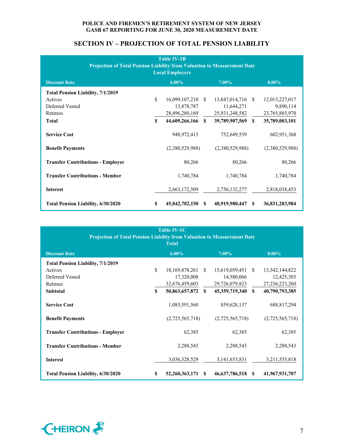| <b>Table IV-1B</b><br><b>Projection of Total Pension Liability from Valuation to Measurement Date</b><br><b>Local Employers</b> |    |                   |    |                   |               |                 |  |  |
|---------------------------------------------------------------------------------------------------------------------------------|----|-------------------|----|-------------------|---------------|-----------------|--|--|
| <b>Discount Rate</b>                                                                                                            |    | $6.00\%$          |    | $7.00\%$          |               | $8.00\%$        |  |  |
| <b>Total Pension Liability, 7/1/2019</b>                                                                                        |    |                   |    |                   |               |                 |  |  |
| Actives                                                                                                                         | \$ | 16,099,107,210    | -S | 13,847,014,716 \$ |               | 12,013,227,017  |  |  |
| Deferred Vested                                                                                                                 |    | 13,878,787        |    | 11,644,271        |               | 9,890,114       |  |  |
| Retirees                                                                                                                        |    | 28,496,280,169    |    | 25,931,248,582    |               | 23,765,885,970  |  |  |
| <b>Total</b>                                                                                                                    | S. | 44,609,266,166 \$ |    | 39,789,907,569    | <sup>\$</sup> | 35,789,003,101  |  |  |
| <b>Service Cost</b>                                                                                                             |    | 948, 972, 413     |    | 752,649,539       |               | 602,951,368     |  |  |
| <b>Benefit Payments</b>                                                                                                         |    | (2,380,529,988)   |    | (2,380,529,988)   |               | (2,380,529,988) |  |  |
| <b>Transfer Contributions - Employer</b>                                                                                        |    | 80,266            |    | 80,266            |               | 80,266          |  |  |
| <b>Transfer Contributions - Member</b>                                                                                          |    | 1,740,784         |    | 1,740,784         |               | 1,740,784       |  |  |
| <b>Interest</b>                                                                                                                 |    | 2,663,172,509     |    | 2,756,132,277     |               | 2,818,038,453   |  |  |
| Total Pension Liability, 6/30/2020                                                                                              | S  | 45,842,702,150    | S  | 40,919,980,447    | S             | 36,831,283,984  |  |  |

# **SECTION IV – PROJECTION OF TOTAL PENSION LIABILITY**

| <b>Table IV-1C</b><br>Projection of Total Pension Liability from Valuation to Measurement Date<br><b>Total</b> |          |                   |              |                   |              |                 |  |
|----------------------------------------------------------------------------------------------------------------|----------|-------------------|--------------|-------------------|--------------|-----------------|--|
| <b>Discount Rate</b>                                                                                           |          | $6.00\%$          |              | 7.00%             |              | 8.00%           |  |
| <b>Total Pension Liability, 7/1/2019</b>                                                                       |          |                   |              |                   |              |                 |  |
| Actives                                                                                                        | \$       | 18, 169, 878, 261 | - \$         | 15,619,059,451 \$ |              | 13,542,144,822  |  |
| Deferred Vested                                                                                                |          | 17,320,008        |              | 14,580,066        |              | 12,425,303      |  |
| Retirees                                                                                                       |          | 32,676,459,603    |              | 29,726,079,823    |              | 27,236,223,260  |  |
| <b>Subtotal</b>                                                                                                | \$       | 50,863,657,872    | $\mathbf{s}$ | 45,359,719,340    | $\mathbf{s}$ | 40,790,793,385  |  |
| <b>Service Cost</b>                                                                                            |          | 1,083,591,560     |              | 859,628,137       |              | 688, 817, 294   |  |
| <b>Benefit Payments</b>                                                                                        |          | (2,725,565,718)   |              | (2,725,565,718)   |              | (2,725,565,718) |  |
| <b>Transfer Contributions - Employer</b>                                                                       |          | 62,385            |              | 62,385            |              | 62,385          |  |
| <b>Transfer Contributions - Member</b>                                                                         |          | 2,288,543         |              | 2,288,543         |              | 2,288,543       |  |
| <b>Interest</b>                                                                                                |          | 3,036,328,529     |              | 3, 141, 653, 831  |              | 3,211,535,818   |  |
| Total Pension Liability, 6/30/2020                                                                             | <b>S</b> | 52,260,363,171    | -S           | 46,637,786,518    | -SS          | 41,967,931,707  |  |

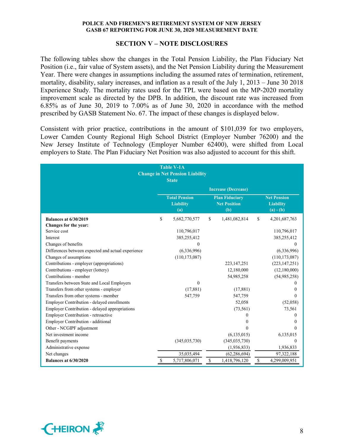### **SECTION V – NOTE DISCLOSURES**

The following tables show the changes in the Total Pension Liability, the Plan Fiduciary Net Position (i.e., fair value of System assets), and the Net Pension Liability during the Measurement Year. There were changes in assumptions including the assumed rates of termination, retirement, mortality, disability, salary increases, and inflation as a result of the July 1, 2013 – June 30 2018 Experience Study. The mortality rates used for the TPL were based on the MP-2020 mortality improvement scale as directed by the DPB. In addition, the discount rate was increased from 6.85% as of June 30, 2019 to 7.00% as of June 30, 2020 in accordance with the method prescribed by GASB Statement No. 67. The impact of these changes is displayed below.

Consistent with prior practice, contributions in the amount of \$101,039 for two employers, Lower Camden County Regional High School District (Employer Number 76200) and the New Jersey Institute of Technology (Employer Number 62400), were shifted from Local employers to State. The Plan Fiduciary Net Position was also adjusted to account for this shift.

|                                                    | <b>Table V-1A</b><br><b>Change in Net Pension Liability</b><br><b>State</b> |                           |                                                     |              |                                                       |
|----------------------------------------------------|-----------------------------------------------------------------------------|---------------------------|-----------------------------------------------------|--------------|-------------------------------------------------------|
|                                                    |                                                                             |                           | <b>Increase (Decrease)</b>                          |              |                                                       |
|                                                    | <b>Total Pension</b><br><b>Liability</b><br>(a)                             |                           | <b>Plan Fiduciary</b><br><b>Net Position</b><br>(b) |              | <b>Net Pension</b><br><b>Liability</b><br>$(a) - (b)$ |
| <b>Balances at 6/30/2019</b>                       | \$<br>5,682,770,577                                                         | $\mathbf S$               | 1,481,082,814                                       | \$           | 4,201,687,763                                         |
| Changes for the year:                              |                                                                             |                           |                                                     |              |                                                       |
| Service cost                                       | 110,796,017                                                                 |                           |                                                     |              | 110,796,017                                           |
| Interest                                           | 385,255,412                                                                 |                           |                                                     |              | 385,255,412                                           |
| Changes of benefits                                |                                                                             |                           |                                                     |              |                                                       |
| Differences between expected and actual experience | (6,336,996)                                                                 |                           |                                                     |              | (6,336,996)                                           |
| Changes of assumptions                             | (110, 173, 087)                                                             |                           |                                                     |              | (110, 173, 087)                                       |
| Contributions - employer (appropriations)          |                                                                             |                           | 223, 147, 251                                       |              | (223, 147, 251)                                       |
| Contributions - employer (lottery)                 |                                                                             |                           | 12,180,000                                          |              | (12,180,000)                                          |
| Contributions - member                             |                                                                             |                           | 54,985,258                                          |              | (54,985,258)                                          |
| Transfers between State and Local Employers        | $\Omega$                                                                    |                           |                                                     |              |                                                       |
| Transfers from other systems - employer            | (17, 881)                                                                   |                           | (17, 881)                                           |              |                                                       |
| Transfers from other systems - member              | 547,759                                                                     |                           | 547,759                                             |              | $\Omega$                                              |
| Employer Contribution - delayed enrollments        |                                                                             |                           | 52,058                                              |              | (52,058)                                              |
| Employer Contribution - delayed appropriations     |                                                                             |                           | (73, 561)                                           |              | 73,561                                                |
| Employer Contribution - retroactive                |                                                                             |                           | $\Omega$                                            |              |                                                       |
| Employer Contribution - additional                 |                                                                             |                           | 0                                                   |              |                                                       |
| Other - NCGIPF adjustment                          |                                                                             |                           | 0                                                   |              | 0                                                     |
| Net investment income                              |                                                                             |                           | (6, 135, 015)                                       |              | 6,135,015                                             |
| Benefit payments                                   | (345, 035, 730)                                                             |                           | (345, 035, 730)                                     |              | $\theta$                                              |
| Administrative expense                             |                                                                             |                           | (1,936,833)                                         |              | 1,936,833                                             |
| Net changes                                        | 35,035,494                                                                  |                           | (62, 286, 694)                                      |              | 97,322,188                                            |
| <b>Balances at 6/30/2020</b>                       | \$<br>5,717,806,071                                                         | $\boldsymbol{\mathsf{S}}$ | 1,418,796,120                                       | $\mathbb{S}$ | 4,299,009,951                                         |

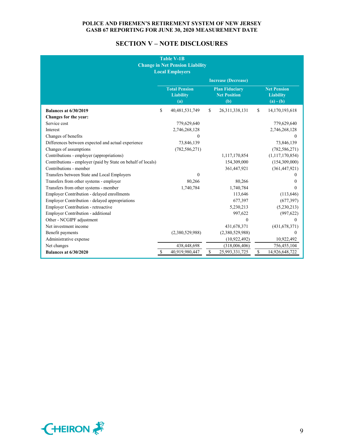# **SECTION V – NOTE DISCLOSURES**

| <b>Table V-1B</b><br><b>Change in Net Pension Liability</b><br><b>Local Employers</b> |    |                                                 |    |                                                     |    |                                                       |
|---------------------------------------------------------------------------------------|----|-------------------------------------------------|----|-----------------------------------------------------|----|-------------------------------------------------------|
|                                                                                       |    |                                                 |    | <b>Increase (Decrease)</b>                          |    |                                                       |
|                                                                                       |    | <b>Total Pension</b><br><b>Liability</b><br>(a) |    | <b>Plan Fiduciary</b><br><b>Net Position</b><br>(b) |    | <b>Net Pension</b><br><b>Liability</b><br>$(a) - (b)$ |
| <b>Balances at 6/30/2019</b>                                                          | \$ | 40,481,531,749                                  | \$ | 26,311,338,131                                      | \$ | 14,170,193,618                                        |
| Changes for the year:                                                                 |    |                                                 |    |                                                     |    |                                                       |
| Service cost                                                                          |    | 779,629,640                                     |    |                                                     |    | 779,629,640                                           |
| Interest                                                                              |    | 2,746,268,128                                   |    |                                                     |    | 2,746,268,128                                         |
| Changes of benefits                                                                   |    | $\Omega$                                        |    |                                                     |    | $\Omega$                                              |
| Differences between expected and actual experience                                    |    | 73,846,139                                      |    |                                                     |    | 73,846,139                                            |
| Changes of assumptions                                                                |    | (782, 586, 271)                                 |    |                                                     |    | (782, 586, 271)                                       |
| Contributions - employer (appropriations)                                             |    |                                                 |    | 1,117,170,854                                       |    | (1, 117, 170, 854)                                    |
| Contributions - employer (paid by State on behalf of locals)                          |    |                                                 |    | 154,309,000                                         |    | (154,309,000)                                         |
| Contributions - member                                                                |    |                                                 |    | 361,447,921                                         |    | (361, 447, 921)                                       |
| Transfers between State and Local Employers                                           |    | $\Omega$                                        |    |                                                     |    | $\Omega$                                              |
| Transfers from other systems - employer                                               |    | 80,266                                          |    | 80,266                                              |    | $\theta$                                              |
| Transfers from other systems - member                                                 |    | 1,740,784                                       |    | 1,740,784                                           |    | $\Omega$                                              |
| Employer Contribution - delayed enrollments                                           |    |                                                 |    | 113,646                                             |    | (113, 646)                                            |
| Employer Contribution - delayed appropriations                                        |    |                                                 |    | 677,397                                             |    | (677, 397)                                            |
| Employer Contribution - retroactive                                                   |    |                                                 |    | 5,230,213                                           |    | (5,230,213)                                           |
| Employer Contribution - additional                                                    |    |                                                 |    | 997,622                                             |    | (997, 622)                                            |
| Other - NCGIPF adjustment                                                             |    |                                                 |    | 0                                                   |    | $\Omega$                                              |
| Net investment income                                                                 |    |                                                 |    | 431,678,371                                         |    | (431, 678, 371)                                       |
| Benefit payments                                                                      |    | (2,380,529,988)                                 |    | (2,380,529,988)                                     |    | $\theta$                                              |
| Administrative expense                                                                |    |                                                 |    | (10, 922, 492)                                      |    | 10,922,492                                            |
| Net changes                                                                           |    | 438,448,698                                     |    | (318,006,406)                                       |    | 756,455,104                                           |
| <b>Balances at 6/30/2020</b>                                                          | \$ | 40,919,980,447                                  | \$ | 25,993,331,725                                      | \$ | 14,926,648,722                                        |

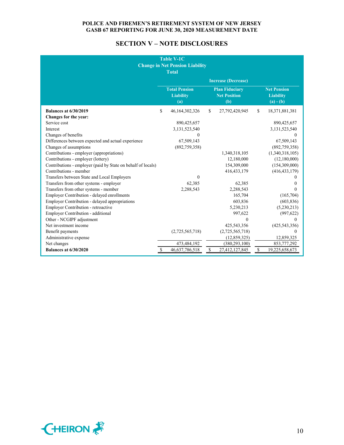# **SECTION V – NOTE DISCLOSURES**

|                                                              | <b>Table V-1C</b><br><b>Change in Net Pension Liability</b><br><b>Total</b> |                                                     |                                                       |
|--------------------------------------------------------------|-----------------------------------------------------------------------------|-----------------------------------------------------|-------------------------------------------------------|
|                                                              |                                                                             | <b>Increase (Decrease)</b>                          |                                                       |
|                                                              | <b>Total Pension</b><br><b>Liability</b><br>$\left( a\right)$               | <b>Plan Fiduciary</b><br><b>Net Position</b><br>(b) | <b>Net Pension</b><br><b>Liability</b><br>$(a) - (b)$ |
| <b>Balances at 6/30/2019</b>                                 | \$<br>46,164,302,326                                                        | \$<br>27,792,420,945                                | \$<br>18,371,881,381                                  |
| Changes for the year:                                        |                                                                             |                                                     |                                                       |
| Service cost                                                 | 890,425,657                                                                 |                                                     | 890,425,657                                           |
| Interest                                                     | 3,131,523,540                                                               |                                                     | 3,131,523,540                                         |
| Changes of benefits                                          | $\Omega$                                                                    |                                                     | $\Omega$                                              |
| Differences between expected and actual experience           | 67,509,143                                                                  |                                                     | 67,509,143                                            |
| Changes of assumptions                                       | (892,759,358)                                                               |                                                     | (892, 759, 358)                                       |
| Contributions - employer (appropriations)                    |                                                                             | 1,340,318,105                                       | (1,340,318,105)                                       |
| Contributions - employer (lottery)                           |                                                                             | 12,180,000                                          | (12,180,000)                                          |
| Contributions - employer (paid by State on behalf of locals) |                                                                             | 154,309,000                                         | (154,309,000)                                         |
| Contributions - member                                       |                                                                             | 416, 433, 179                                       | (416, 433, 179)                                       |
| Transfers between State and Local Employers                  | $\theta$                                                                    |                                                     | 0                                                     |
| Transfers from other systems - employer                      | 62,385                                                                      | 62,385                                              | $\theta$                                              |
| Transfers from other systems - member                        | 2,288,543                                                                   | 2,288,543                                           | $\Omega$                                              |
| Employer Contribution - delayed enrollments                  |                                                                             | 165,704                                             | (165,704)                                             |
| Employer Contribution - delayed appropriations               |                                                                             | 603,836                                             | (603, 836)                                            |
| Employer Contribution - retroactive                          |                                                                             | 5,230,213                                           | (5,230,213)                                           |
| Employer Contribution - additional                           |                                                                             | 997,622                                             | (997, 622)                                            |
| Other - NCGIPF adjustment                                    |                                                                             | $\theta$                                            | $\theta$                                              |
| Net investment income                                        |                                                                             | 425,543,356                                         | (425, 543, 356)                                       |
| Benefit payments                                             | (2,725,565,718)                                                             | (2,725,565,718)                                     | $\theta$                                              |
| Administrative expense                                       |                                                                             | (12,859,325)                                        | 12,859,325                                            |
| Net changes                                                  | 473,484,192                                                                 | (380, 293, 100)                                     | 853,777,292                                           |
| <b>Balances at 6/30/2020</b>                                 | 46,637,786,518                                                              | \$<br>27,412,127,845                                | \$<br>19,225,658,673                                  |

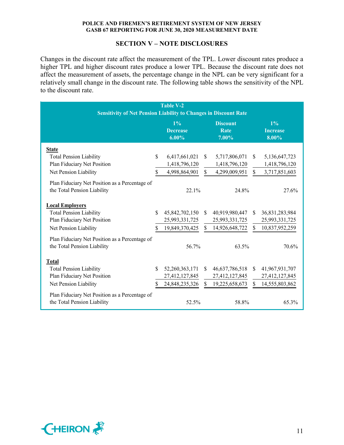# **SECTION V – NOTE DISCLOSURES**

Changes in the discount rate affect the measurement of the TPL. Lower discount rates produce a higher TPL and higher discount rates produce a lower TPL. Because the discount rate does not affect the measurement of assets, the percentage change in the NPL can be very significant for a relatively small change in the discount rate. The following table shows the sensitivity of the NPL to the discount rate.

| <b>Table V-2</b>                                                        |              |                                      |              |                                  |               |                                   |  |
|-------------------------------------------------------------------------|--------------|--------------------------------------|--------------|----------------------------------|---------------|-----------------------------------|--|
| <b>Sensitivity of Net Pension Liability to Changes in Discount Rate</b> |              |                                      |              |                                  |               |                                   |  |
|                                                                         |              | $1\%$<br><b>Decrease</b><br>$6.00\%$ |              | <b>Discount</b><br>Rate<br>7.00% |               | $1\%$<br><b>Increase</b><br>8.00% |  |
| <b>State</b>                                                            |              |                                      |              |                                  |               |                                   |  |
| <b>Total Pension Liability</b>                                          | \$           | 6,417,661,021                        | \$           | 5,717,806,071                    | \$            | 5,136,647,723                     |  |
| Plan Fiduciary Net Position                                             |              | 1,418,796,120                        |              | 1,418,796,120                    |               | 1,418,796,120                     |  |
| Net Pension Liability                                                   | $\mathbb{S}$ | 4,998,864,901                        | $\mathbb{S}$ | 4,299,009,951                    | $\mathbb{S}$  | 3,717,851,603                     |  |
| Plan Fiduciary Net Position as a Percentage of                          |              |                                      |              |                                  |               |                                   |  |
| the Total Pension Liability                                             |              | 22.1%                                |              | 24.8%                            |               | 27.6%                             |  |
|                                                                         |              |                                      |              |                                  |               |                                   |  |
| <b>Local Employers</b>                                                  |              |                                      |              |                                  |               |                                   |  |
| <b>Total Pension Liability</b>                                          | $\mathbf S$  | 45,842,702,150                       | <sup>S</sup> | 40,919,980,447                   | \$.           | 36,831,283,984                    |  |
| Plan Fiduciary Net Position                                             |              | 25,993,331,725                       |              | 25,993,331,725                   |               | 25,993,331,725                    |  |
| Net Pension Liability                                                   | $\mathbf S$  | 19,849,370,425                       | $\mathbf S$  | 14,926,648,722                   | $\mathcal{S}$ | 10,837,952,259                    |  |
| Plan Fiduciary Net Position as a Percentage of                          |              |                                      |              |                                  |               |                                   |  |
| the Total Pension Liability                                             |              | 56.7%                                |              | 63.5%                            |               | 70.6%                             |  |
|                                                                         |              |                                      |              |                                  |               |                                   |  |
| <b>Total</b>                                                            |              |                                      |              |                                  |               |                                   |  |
| <b>Total Pension Liability</b>                                          | \$           | 52,260,363,171                       | S.           | 46,637,786,518                   | S.            | 41,967,931,707                    |  |
| Plan Fiduciary Net Position                                             |              | 27,412,127,845                       |              | 27,412,127,845                   |               | 27,412,127,845                    |  |
| Net Pension Liability                                                   |              | 24,848,235,326                       | $\mathbf{s}$ | 19,225,658,673                   | \$            | 14,555,803,862                    |  |
| Plan Fiduciary Net Position as a Percentage of                          |              |                                      |              |                                  |               |                                   |  |
| the Total Pension Liability                                             |              | 52.5%                                |              | 58.8%                            |               | 65.3%                             |  |

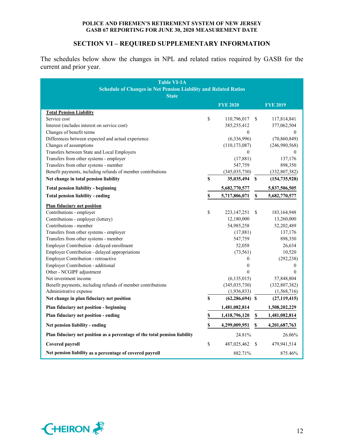# **SECTION VI – REQUIRED SUPPLEMENTARY INFORMATION**

The schedules below show the changes in NPL and related ratios required by GASB for the current and prior year.

| <b>Table VI-1A</b><br><b>Schedule of Changes in Net Pension Liability and Related Ratios</b><br><b>State</b> |             |                                     |               |                               |
|--------------------------------------------------------------------------------------------------------------|-------------|-------------------------------------|---------------|-------------------------------|
|                                                                                                              |             | <b>FYE 2020</b>                     |               | <b>FYE 2019</b>               |
| <b>Total Pension Liability</b>                                                                               |             |                                     |               |                               |
| Service cost                                                                                                 | \$          | 110,796,017                         | <sup>\$</sup> | 117,814,841                   |
| Interest (includes interest on service cost)                                                                 |             | 385,255,412                         |               | 377,062,504                   |
| Changes of benefit terms                                                                                     |             | $\theta$                            |               | $\theta$                      |
| Differences between expected and actual experience                                                           |             | (6,336,996)                         |               | (70, 860, 849)                |
| Changes of assumptions<br>Transfers between State and Local Employers                                        |             | (110, 173, 087)<br>$\boldsymbol{0}$ |               | (246,980,568)<br>$\mathbf{0}$ |
| Transfers from other systems - employer                                                                      |             | (17, 881)                           |               | 137,176                       |
| Transfers from other systems - member                                                                        |             | 547,759                             |               | 898,350                       |
| Benefit payments, including refunds of member contributions                                                  |             | (345, 035, 730)                     |               | (332, 807, 382)               |
| Net change in total pension liability                                                                        | $\mathbf S$ | 35,035,494 \$                       |               | (154, 735, 928)               |
| <b>Total pension liability - beginning</b>                                                                   |             | 5,682,770,577                       |               | 5,837,506,505                 |
| Total pension liability - ending                                                                             | \$          | 5,717,806,071                       | $\mathbb S$   | 5,682,770,577                 |
| <b>Plan fiduciary net position</b>                                                                           |             |                                     |               |                               |
| Contributions - employer                                                                                     | \$          | 223, 147, 251                       | \$            | 183, 164, 948                 |
| Contributions - employer (lottery)                                                                           |             | 12,180,000                          |               | 13,260,000                    |
| Contributions - member                                                                                       |             | 54,985,258                          |               | 52,202,489                    |
| Transfers from other systems - employer                                                                      |             | (17,881)                            |               | 137,176                       |
| Transfers from other systems - member                                                                        |             | 547,759                             |               | 898,350                       |
| Employer Contribution - delayed enrollment                                                                   |             | 52,058                              |               | 26,634                        |
| Employer Contribution - delayed appropriations                                                               |             | (73, 561)                           |               | 10,520                        |
| Employer Contribution - retroactive                                                                          |             | $\theta$                            |               | (292, 238)                    |
| Employer Contribution - additional                                                                           |             | $\mathbf{0}$                        |               | $\mathbf{0}$                  |
| Other - NCGIPF adjustment                                                                                    |             | $\theta$                            |               | $\theta$                      |
| Net investment income                                                                                        |             | (6, 135, 015)                       |               | 57,848,804                    |
| Benefit payments, including refunds of member contributions                                                  |             | (345, 035, 730)                     |               | (332, 807, 382)               |
| Administrative expense                                                                                       |             | (1,936,833)                         |               | (1,568,716)                   |
| Net change in plan fiduciary net position                                                                    | \$          | $(62, 286, 694)$ \$                 |               | (27, 119, 415)                |
| Plan fiduciary net position - beginning                                                                      |             | 1,481,082,814                       |               | 1,508,202,229                 |
| Plan fiduciary net position - ending                                                                         | \$          | 1,418,796,120                       | \$            | 1,481,082,814                 |
| Net pension liability - ending                                                                               | S           | 4,299,009,951                       | \$            | 4,201,687,763                 |
| Plan fiduciary net position as a percentage of the total pension liability                                   |             | 24.81%                              |               | 26.06%                        |
| Covered payroll                                                                                              | \$          | 487,025,462                         | S             | 479,941,514                   |
| Net pension liability as a percentage of covered payroll                                                     |             | 882.71%                             |               | 875.46%                       |

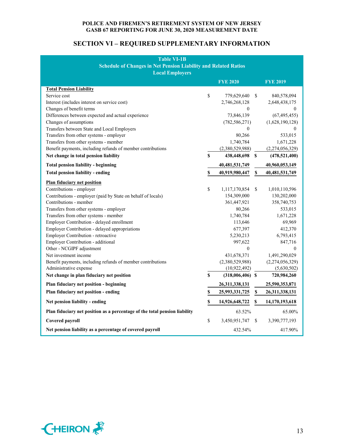# **SECTION VI – REQUIRED SUPPLEMENTARY INFORMATION**

| <b>Table VI-1B</b><br><b>Schedule of Changes in Net Pension Liability and Related Ratios</b> |    |                    |               |                 |  |  |
|----------------------------------------------------------------------------------------------|----|--------------------|---------------|-----------------|--|--|
| <b>Local Employers</b>                                                                       |    | <b>FYE 2020</b>    |               | <b>FYE 2019</b> |  |  |
| <b>Total Pension Liability</b>                                                               |    |                    |               |                 |  |  |
| Service cost                                                                                 | \$ | 779,629,640        | <sup>\$</sup> | 840,578,094     |  |  |
| Interest (includes interest on service cost)                                                 |    | 2,746,268,128      |               | 2,648,438,175   |  |  |
| Changes of benefit terms                                                                     |    | 0                  |               | $\left($        |  |  |
| Differences between expected and actual experience                                           |    | 73,846,139         |               | (67, 495, 455)  |  |  |
| Changes of assumptions                                                                       |    | (782, 586, 271)    |               | (1,628,190,128) |  |  |
| Transfers between State and Local Employers                                                  |    | 0                  |               | $\theta$        |  |  |
| Transfers from other systems - employer                                                      |    | 80,266             |               | 533,015         |  |  |
| Transfers from other systems - member                                                        |    | 1,740,784          |               | 1,671,228       |  |  |
| Benefit payments, including refunds of member contributions                                  |    | (2,380,529,988)    |               | (2,274,056,329) |  |  |
| Net change in total pension liability                                                        | \$ | 438,448,698 \$     |               | (478, 521, 400) |  |  |
| <b>Total pension liability - beginning</b>                                                   |    | 40,481,531,749     |               | 40,960,053,149  |  |  |
| <b>Total pension liability - ending</b>                                                      | \$ | 40,919,980,447     | \$            | 40,481,531,749  |  |  |
| <b>Plan fiduciary net position</b>                                                           |    |                    |               |                 |  |  |
| Contributions - employer                                                                     | \$ | 1,117,170,854      | \$            | 1,010,110,596   |  |  |
| Contributions - employer (paid by State on behalf of locals)                                 |    | 154,309,000        |               | 130,202,000     |  |  |
| Contributions - member                                                                       |    | 361,447,921        |               | 358,740,753     |  |  |
| Transfers from other systems - employer                                                      |    | 80,266             |               | 533,015         |  |  |
| Transfers from other systems - member                                                        |    | 1,740,784          |               | 1,671,228       |  |  |
| Employer Contribution - delayed enrollment                                                   |    | 113,646            |               | 69,969          |  |  |
| Employer Contribution - delayed appropriations                                               |    | 677,397            |               | 412,370         |  |  |
| Employer Contribution - retroactive                                                          |    | 5,230,213          |               | 6,793,415       |  |  |
| Employer Contribution - additional                                                           |    | 997,622            |               | 847,716         |  |  |
| Other - NCGIPF adjustment                                                                    |    | $\theta$           |               | $\theta$        |  |  |
| Net investment income                                                                        |    | 431,678,371        |               | 1,491,290,029   |  |  |
| Benefit payments, including refunds of member contributions                                  |    | (2,380,529,988)    |               | (2,274,056,329) |  |  |
| Administrative expense                                                                       |    | (10, 922, 492)     |               | (5,630,502)     |  |  |
| Net change in plan fiduciary net position                                                    | \$ | $(318,006,406)$ \$ |               | 720,984,260     |  |  |
| Plan fiduciary net position - beginning                                                      |    | 26,311,338,131     |               | 25,590,353,871  |  |  |
| Plan fiduciary net position - ending                                                         | \$ | 25,993,331,725     | $\mathbb S$   | 26,311,338,131  |  |  |
| Net pension liability - ending                                                               | \$ | 14,926,648,722     | \$            | 14,170,193,618  |  |  |
| Plan fiduciary net position as a percentage of the total pension liability                   |    | 63.52%             |               | 65.00%          |  |  |
| Covered payroll                                                                              | \$ | 3,450,951,747      | \$            | 3,390,777,193   |  |  |
| Net pension liability as a percentage of covered payroll                                     |    | 432.54%            |               | 417.90%         |  |  |

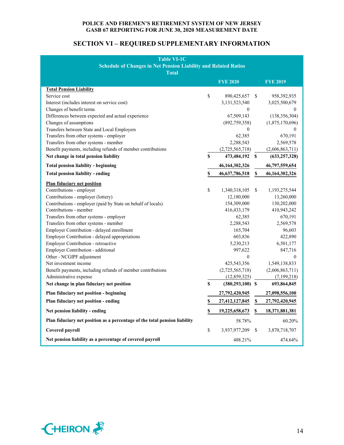# **SECTION VI – REQUIRED SUPPLEMENTARY INFORMATION**

| <b>Table VI-1C</b>                                                         |    |                      |             |                  |  |  |  |
|----------------------------------------------------------------------------|----|----------------------|-------------|------------------|--|--|--|
| <b>Schedule of Changes in Net Pension Liability and Related Ratios</b>     |    |                      |             |                  |  |  |  |
| <b>Total</b>                                                               |    |                      |             |                  |  |  |  |
|                                                                            |    | <b>FYE 2020</b>      |             | <b>FYE 2019</b>  |  |  |  |
| <b>Total Pension Liability</b>                                             |    |                      |             |                  |  |  |  |
| Service cost                                                               | \$ | 890,425,657          | S           | 958,392,935      |  |  |  |
| Interest (includes interest on service cost)                               |    | 3,131,523,540        |             | 3,025,500,679    |  |  |  |
| Changes of benefit terms                                                   |    | $\theta$             |             | $\theta$         |  |  |  |
| Differences between expected and actual experience                         |    | 67,509,143           |             | (138, 356, 304)  |  |  |  |
| Changes of assumptions                                                     |    | (892,759,358)        |             | (1,875,170,696)  |  |  |  |
| Transfers between State and Local Employers                                |    | $\theta$             |             | $\theta$         |  |  |  |
| Transfers from other systems - employer                                    |    | 62,385               |             | 670,191          |  |  |  |
| Transfers from other systems - member                                      |    | 2,288,543            |             | 2,569,578        |  |  |  |
| Benefit payments, including refunds of member contributions                |    | (2,725,565,718)      |             | (2,606,863,711)  |  |  |  |
| Net change in total pension liability                                      | \$ | 473,484,192 \$       |             | (633, 257, 328)  |  |  |  |
| <b>Total pension liability - beginning</b>                                 |    | 46,164,302,326       |             | 46,797,559,654   |  |  |  |
| <b>Total pension liability - ending</b>                                    | \$ | 46,637,786,518       | S           | 46,164,302,326   |  |  |  |
| <b>Plan fiduciary net position</b>                                         |    |                      |             |                  |  |  |  |
| Contributions - employer                                                   | \$ | 1,340,318,105        | S           | 1,193,275,544    |  |  |  |
| Contributions - employer (lottery)                                         |    | 12,180,000           |             | 13,260,000       |  |  |  |
| Contributions - employer (paid by State on behalf of locals)               |    | 154,309,000          |             | 130,202,000      |  |  |  |
| Contributions - member                                                     |    | 416, 433, 179        |             | 410,943,242      |  |  |  |
| Transfers from other systems - employer                                    |    | 62,385               |             | 670,191          |  |  |  |
| Transfers from other systems - member                                      |    | 2,288,543            |             | 2,569,578        |  |  |  |
| Employer Contribution - delayed enrollment                                 |    | 165,704              |             | 96,603           |  |  |  |
| Employer Contribution - delayed appropriations                             |    | 603,836              |             | 422,890          |  |  |  |
| Employer Contribution - retroactive                                        |    | 5,230,213            |             | 6,501,177        |  |  |  |
| Employer Contribution - additional                                         |    | 997,622              |             | 847,716          |  |  |  |
| Other - NCGIPF adjustment                                                  |    | $\theta$             |             | $\boldsymbol{0}$ |  |  |  |
| Net investment income                                                      |    | 425,543,356          |             | 1,549,138,833    |  |  |  |
| Benefit payments, including refunds of member contributions                |    | (2,725,565,718)      |             | (2,606,863,711)  |  |  |  |
| Administrative expense                                                     |    | (12, 859, 325)       |             | (7,199,218)      |  |  |  |
| Net change in plan fiduciary net position                                  | \$ | $(380, 293, 100)$ \$ |             | 693,864,845      |  |  |  |
| Plan fiduciary net position - beginning                                    |    | 27,792,420,945       |             | 27,098,556,100   |  |  |  |
| Plan fiduciary net position - ending                                       | \$ | 27,412,127,845       | $\mathbb S$ | 27,792,420,945   |  |  |  |
| Net pension liability - ending                                             | \$ | 19,225,658,673       | \$          | 18,371,881,381   |  |  |  |
| Plan fiduciary net position as a percentage of the total pension liability |    | 58.78%               |             | 60.20%           |  |  |  |
| Covered payroll                                                            | \$ | 3,937,977,209        | \$.         | 3,870,718,707    |  |  |  |
| Net pension liability as a percentage of covered payroll                   |    | 488.21%              |             | 474.64%          |  |  |  |

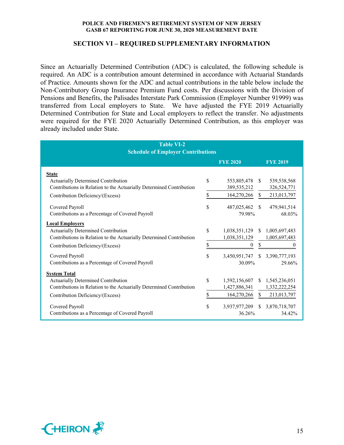## **SECTION VI – REQUIRED SUPPLEMENTARY INFORMATION**

Since an Actuarially Determined Contribution (ADC) is calculated, the following schedule is required. An ADC is a contribution amount determined in accordance with Actuarial Standards of Practice. Amounts shown for the ADC and actual contributions in the table below include the Non-Contributory Group Insurance Premium Fund costs. Per discussions with the Division of Pensions and Benefits, the Palisades Interstate Park Commission (Employer Number 91999) was transferred from Local employers to State. We have adjusted the FYE 2019 Actuarially Determined Contribution for State and Local employers to reflect the transfer. No adjustments were required for the FYE 2020 Actuarially Determined Contribution, as this employer was already included under State.

| <b>Table VI-2</b><br><b>Schedule of Employer Contributions</b>       |    |                  |               |                 |  |  |
|----------------------------------------------------------------------|----|------------------|---------------|-----------------|--|--|
|                                                                      |    | <b>FYE 2020</b>  |               | <b>FYE 2019</b> |  |  |
| <b>State</b>                                                         |    |                  |               |                 |  |  |
| Actuarially Determined Contribution                                  | \$ | 553,805,478      | <sup>S</sup>  | 539,538,568     |  |  |
| Contributions in Relation to the Actuarially Determined Contribution |    | 389,535,212      |               | 326,524,771     |  |  |
| Contribution Deficiency/(Excess)                                     | \$ | 164,270,266      | <sup>S</sup>  | 213,013,797     |  |  |
| Covered Payroll                                                      | \$ | 487,025,462      | <sup>\$</sup> | 479,941,514     |  |  |
| Contributions as a Percentage of Covered Payroll                     |    | 79.98%           |               | 68.03%          |  |  |
| <b>Local Employers</b>                                               |    |                  |               |                 |  |  |
| <b>Actuarially Determined Contribution</b>                           | \$ | 1,038,351,129    | <sup>\$</sup> | 1,005,697,483   |  |  |
| Contributions in Relation to the Actuarially Determined Contribution |    | 1,038,351,129    |               | 1,005,697,483   |  |  |
| Contribution Deficiency/(Excess)                                     | \$ | $\boldsymbol{0}$ | \$            | 0               |  |  |
| Covered Payroll                                                      | \$ | 3,450,951,747    |               | \$3,390,777,193 |  |  |
| Contributions as a Percentage of Covered Payroll                     |    | 30.09%           |               | 29.66%          |  |  |
| <b>System Total</b>                                                  |    |                  |               |                 |  |  |
| Actuarially Determined Contribution                                  | \$ | 1,592,156,607    | <sup>\$</sup> | 1,545,236,051   |  |  |
| Contributions in Relation to the Actuarially Determined Contribution |    | 1,427,886,341    |               | 1,332,222,254   |  |  |
| Contribution Deficiency/(Excess)                                     | \$ | 164,270,266      | \$            | 213,013,797     |  |  |
| Covered Payroll                                                      | \$ | 3,937,977,209    | <sup>\$</sup> | 3,870,718,707   |  |  |
| Contributions as a Percentage of Covered Payroll                     |    | 36.26%           |               | 34.42%          |  |  |

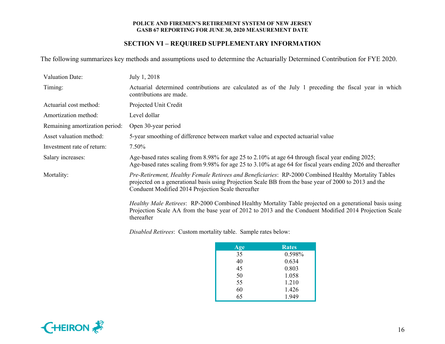# **SECTION VI – REQUIRED SUPPLEMENTARY INFORMATION**

The following summarizes key methods and assumptions used to determine the Actuarially Determined Contribution for FYE 2020.

| <b>Valuation Date:</b>         | July 1, 2018                                                                                                                                                                                                                                                         |
|--------------------------------|----------------------------------------------------------------------------------------------------------------------------------------------------------------------------------------------------------------------------------------------------------------------|
| Timing:                        | Actuarial determined contributions are calculated as of the July 1 preceding the fiscal year in which<br>contributions are made.                                                                                                                                     |
| Actuarial cost method:         | Projected Unit Credit                                                                                                                                                                                                                                                |
| Amortization method:           | Level dollar                                                                                                                                                                                                                                                         |
| Remaining amortization period: | Open 30-year period                                                                                                                                                                                                                                                  |
| Asset valuation method:        | 5-year smoothing of difference between market value and expected actuarial value                                                                                                                                                                                     |
| Investment rate of return:     | 7.50%                                                                                                                                                                                                                                                                |
| Salary increases:              | Age-based rates scaling from 8.98% for age 25 to 2.10% at age 64 through fiscal year ending 2025;<br>Age-based rates scaling from 9.98% for age 25 to 3.10% at age 64 for fiscal years ending 2026 and thereafter                                                    |
| Mortality:                     | Pre-Retirement, Healthy Female Retirees and Beneficiaries: RP-2000 Combined Healthy Mortality Tables<br>projected on a generational basis using Projection Scale BB from the base year of 2000 to 2013 and the<br>Conduent Modified 2014 Projection Scale thereafter |
|                                | Healthy Male Retirees: RP-2000 Combined Healthy Mortality Table projected on a generational basis using<br>Projection Scale AA from the base year of 2012 to 2013 and the Conduent Modified 2014 Projection Scale                                                    |

*Disabled Retirees*: Custom mortality table. Sample rates below:

thereafter

| Age | Rates  |
|-----|--------|
| 35  | 0.598% |
| 40  | 0.634  |
| 45  | 0.803  |
| 50  | 1.058  |
| 55  | 1.210  |
| 60  | 1.426  |
| 65  | 1.949  |

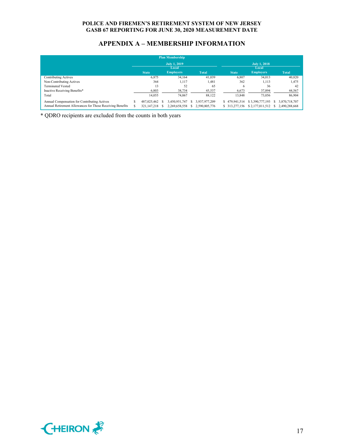# **APPENDIX A – MEMBERSHIP INFORMATION**

| <b>Plan Membership</b>                                    |       |              |  |                     |    |               |  |                |                     |  |               |
|-----------------------------------------------------------|-------|--------------|--|---------------------|----|---------------|--|----------------|---------------------|--|---------------|
|                                                           |       |              |  | <b>July 1, 2019</b> |    |               |  |                | <b>July 1, 2018</b> |  |               |
|                                                           | Local |              |  | Local               |    |               |  |                |                     |  |               |
|                                                           |       | <b>State</b> |  | <b>Employers</b>    |    | <b>Total</b>  |  | <b>State</b>   | <b>Employers</b>    |  | <b>Total</b>  |
| <b>Contributing Actives</b>                               |       | 6,875        |  | 34,164              |    | 41,039        |  | 6.807          | 34.013              |  | 40,820        |
| Non-Contributing Actives                                  |       | 364          |  | 1.117               |    | 1.481         |  | 362            | 1,113               |  | 1,475         |
| <b>Terminated Vested</b>                                  |       | 13           |  | 52                  |    | 65            |  | 6              | 36                  |  | 42            |
| Inactive Receiving Benefits*                              |       | 6,803        |  | 38,734              |    | 45,537        |  | 6,673          | 37,894              |  | 44,567        |
| Total                                                     |       | 14.055       |  | 74,067              |    | 88,122        |  | 13.848         | 73,056              |  | 86,904        |
| Annual Compensation for Contributing Actives              |       | 487.025.462  |  | 3.450.951.747       | S. | 3.937.977.209 |  | \$479,941,514  | \$3,390,777,193     |  | 3,870,718,707 |
| Annual Retirement Allowances for Those Receiving Benefits |       | 321,147,218  |  | 2,269,658,558       |    | 2.590,805,776 |  | \$ 313,277,156 | \$2,177,011,512     |  | 2,490,288,668 |

\* QDRO recipients are excluded from the counts in both years

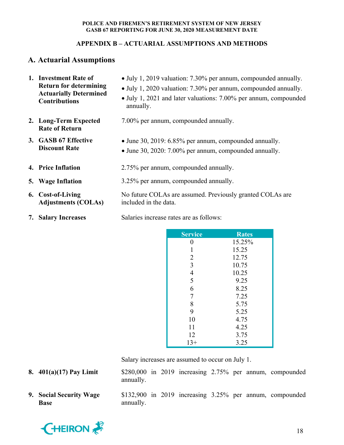# **APPENDIX B – ACTUARIAL ASSUMPTIONS AND METHODS**

# **A. Actuarial Assumptions**

| 1. Investment Rate of<br><b>Return for determining</b><br><b>Actuarially Determined</b><br><b>Contributions</b> | • July 1, 2019 valuation: 7.30% per annum, compounded annually.<br>• July 1, 2020 valuation: 7.30% per annum, compounded annually.<br>• July 1, 2021 and later valuations: 7.00% per annum, compounded<br>annually. |  |  |  |
|-----------------------------------------------------------------------------------------------------------------|---------------------------------------------------------------------------------------------------------------------------------------------------------------------------------------------------------------------|--|--|--|
| 2. Long-Term Expected<br><b>Rate of Return</b>                                                                  | 7.00% per annum, compounded annually.                                                                                                                                                                               |  |  |  |
| 3. GASB 67 Effective<br><b>Discount Rate</b>                                                                    | • June 30, 2019: 6.85% per annum, compounded annually.<br>• June 30, 2020: 7.00% per annum, compounded annually.                                                                                                    |  |  |  |
| 4. Price Inflation                                                                                              | 2.75% per annum, compounded annually.                                                                                                                                                                               |  |  |  |
| 5. Wage Inflation                                                                                               | 3.25% per annum, compounded annually.                                                                                                                                                                               |  |  |  |
| 6. Cost-of-Living<br><b>Adjustments (COLAs)</b>                                                                 | No future COLAs are assumed. Previously granted COLAs are<br>included in the data.                                                                                                                                  |  |  |  |
| 7. Salary Increases                                                                                             | Salaries increase rates are as follows:                                                                                                                                                                             |  |  |  |

| <b>Service</b> | <b>Rates</b> |
|----------------|--------------|
| 0              | 15.25%       |
| 1              | 15.25        |
| $\overline{2}$ | 12.75        |
| $\overline{3}$ | 10.75        |
| $\overline{4}$ | 10.25        |
| 5              | 9.25         |
| 6              | 8.25         |
| 7              | 7.25         |
| 8              | 5.75         |
| 9              | 5.25         |
| 10             | 4.75         |
| 11             | 4.25         |
| 12             | 3.75         |
| $13+$          | 3.25         |

Salary increases are assumed to occur on July 1.

- **8. 401(a)(17) Pay Limit** \$280,000 in 2019 increasing 2.75% per annum, compounded annually.
- **9. Social Security Wage Base**

\$132,900 in 2019 increasing 3.25% per annum, compounded annually.

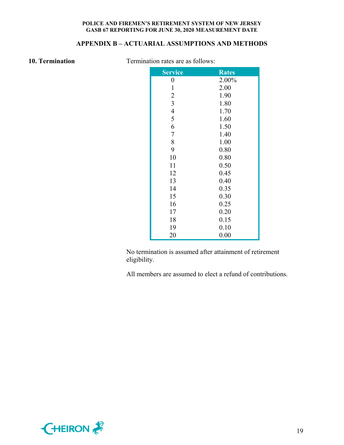# **APPENDIX B – ACTUARIAL ASSUMPTIONS AND METHODS**

**10. Termination Termination rates are as follows:** 

| <b>Service</b> | <b>Rates</b> |
|----------------|--------------|
| 0              | 2.00%        |
| $\mathbf{1}$   | 2.00         |
| $\overline{c}$ | 1.90         |
| $\overline{3}$ | 1.80         |
| $\overline{4}$ | 1.70         |
| 5              | 1.60         |
| 6              | 1.50         |
| $\overline{7}$ | 1.40         |
| 8              | 1.00         |
| 9              | 0.80         |
| 10             | 0.80         |
| 11             | 0.50         |
| 12             | 0.45         |
| 13             | 0.40         |
| 14             | 0.35         |
| 15             | 0.30         |
| 16             | 0.25         |
| 17             | 0.20         |
| 18             | 0.15         |
| 19             | 0.10         |
| 20             | 0.00         |

No termination is assumed after attainment of retirement eligibility.

All members are assumed to elect a refund of contributions.

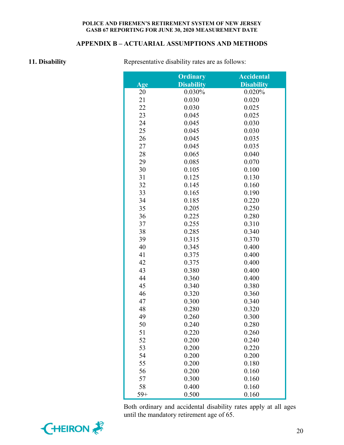# **APPENDIX B – ACTUARIAL ASSUMPTIONS AND METHODS**

**11. Disability Representative disability rates are as follows:** 

|       | <b>Ordinary</b>   | <b>Accidental</b> |
|-------|-------------------|-------------------|
| Age   | <b>Disability</b> | <b>Disability</b> |
| 20    | 0.030%            | 0.020%            |
| 21    | 0.030             | 0.020             |
| 22    | 0.030             | 0.025             |
| 23    | 0.045             | 0.025             |
| 24    | 0.045             | 0.030             |
| 25    | 0.045             | 0.030             |
| 26    | 0.045             | 0.035             |
| 27    | 0.045             | 0.035             |
| 28    | 0.065             | 0.040             |
| 29    | 0.085             | 0.070             |
| 30    | 0.105             | 0.100             |
| 31    | 0.125             | 0.130             |
| 32    | 0.145             | 0.160             |
| 33    | 0.165             | 0.190             |
| 34    | 0.185             | 0.220             |
| 35    | 0.205             | 0.250             |
| 36    | 0.225             | 0.280             |
| 37    | 0.255             | 0.310             |
| 38    | 0.285             | 0.340             |
| 39    | 0.315             | 0.370             |
| 40    | 0.345             | 0.400             |
| 41    | 0.375             | 0.400             |
| 42    | 0.375             | 0.400             |
| 43    | 0.380             | 0.400             |
| 44    | 0.360             | 0.400             |
| 45    | 0.340             | 0.380             |
| 46    | 0.320             | 0.360             |
| 47    | 0.300             | 0.340             |
| 48    | 0.280             | 0.320             |
| 49    | 0.260             | 0.300             |
| 50    | 0.240             | 0.280             |
| 51    | 0.220             | 0.260             |
| 52    | 0.200             | 0.240             |
| 53    | 0.200             | 0.220             |
| 54    | 0.200             | 0.200             |
| 55    | 0.200             | 0.180             |
| 56    | 0.200             | 0.160             |
| 57    | 0.300             | 0.160             |
| 58    | 0.400             | 0.160             |
| $59+$ | 0.500             | 0.160             |

Both ordinary and accidental disability rates apply at all ages until the mandatory retirement age of 65.

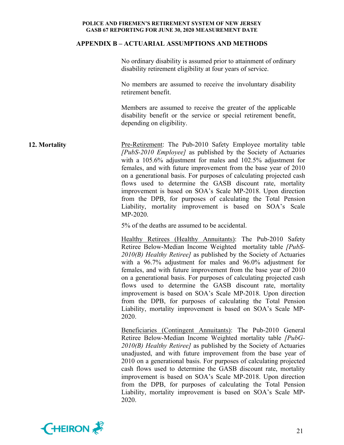### **APPENDIX B – ACTUARIAL ASSUMPTIONS AND METHODS**

No ordinary disability is assumed prior to attainment of ordinary disability retirement eligibility at four years of service.

No members are assumed to receive the involuntary disability retirement benefit.

Members are assumed to receive the greater of the applicable disability benefit or the service or special retirement benefit, depending on eligibility.

**12. Mortality Pre-Retirement:** The Pub-2010 Safety Employee mortality table *[PubS-2010 Employee]* as published by the Society of Actuaries with a 105.6% adjustment for males and 102.5% adjustment for females, and with future improvement from the base year of 2010 on a generational basis. For purposes of calculating projected cash flows used to determine the GASB discount rate, mortality improvement is based on SOA's Scale MP-2018. Upon direction from the DPB, for purposes of calculating the Total Pension Liability, mortality improvement is based on SOA's Scale MP-2020.

5% of the deaths are assumed to be accidental.

Healthy Retirees (Healthy Annuitants): The Pub-2010 Safety Retiree Below-Median Income Weighted mortality table *[PubS-2010(B) Healthy Retiree]* as published by the Society of Actuaries with a 96.7% adjustment for males and 96.0% adjustment for females, and with future improvement from the base year of 2010 on a generational basis. For purposes of calculating projected cash flows used to determine the GASB discount rate, mortality improvement is based on SOA's Scale MP-2018. Upon direction from the DPB, for purposes of calculating the Total Pension Liability, mortality improvement is based on SOA's Scale MP-2020.

Beneficiaries (Contingent Annuitants): The Pub-2010 General Retiree Below-Median Income Weighted mortality table *[PubG-2010(B) Healthy Retiree]* as published by the Society of Actuaries unadjusted, and with future improvement from the base year of 2010 on a generational basis. For purposes of calculating projected cash flows used to determine the GASB discount rate, mortality improvement is based on SOA's Scale MP-2018. Upon direction from the DPB, for purposes of calculating the Total Pension Liability, mortality improvement is based on SOA's Scale MP-2020.

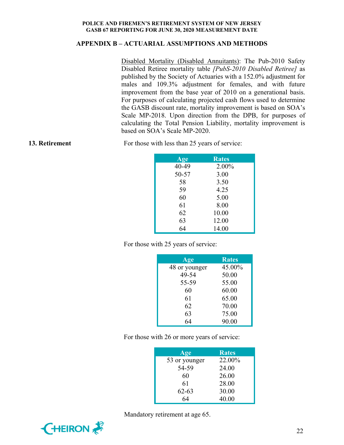# **APPENDIX B – ACTUARIAL ASSUMPTIONS AND METHODS**

Disabled Mortality (Disabled Annuitants): The Pub-2010 Safety Disabled Retiree mortality table *[PubS-2010 Disabled Retiree]* as published by the Society of Actuaries with a 152.0% adjustment for males and 109.3% adjustment for females, and with future improvement from the base year of 2010 on a generational basis. For purposes of calculating projected cash flows used to determine the GASB discount rate, mortality improvement is based on SOA's Scale MP-2018. Upon direction from the DPB, for purposes of calculating the Total Pension Liability, mortality improvement is based on SOA's Scale MP-2020.

**13. Retirement** For those with less than 25 years of service:

| Age   | <b>Rates</b> |
|-------|--------------|
| 40-49 | 2.00%        |
| 50-57 | 3.00         |
| 58    | 3.50         |
| 59    | 4.25         |
| 60    | 5.00         |
| 61    | 8.00         |
| 62    | 10.00        |
| 63    | 12.00        |
| 64    | 14.00        |

For those with 25 years of service:

| Age           | <b>Rates</b> |
|---------------|--------------|
| 48 or younger | 45.00%       |
| 49-54         | 50.00        |
| 55-59         | 55.00        |
| 60            | 60.00        |
| 61            | 65.00        |
| 62            | 70.00        |
| 63            | 75.00        |
| 64            | 90.00        |

For those with 26 or more years of service:

| Age           | <b>Rates</b> |
|---------------|--------------|
| 53 or younger | 22.00%       |
| 54-59         | 24.00        |
| 60            | 26.00        |
| 61            | 28.00        |
| $62 - 63$     | 30.00        |
| 64            | 40.00        |



Mandatory retirement at age 65.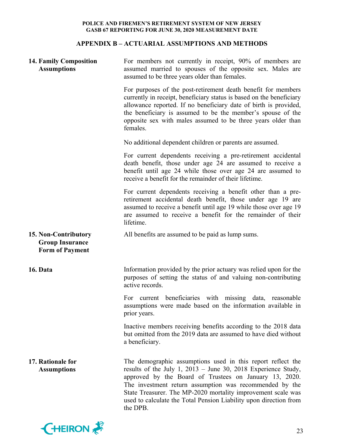# **APPENDIX B – ACTUARIAL ASSUMPTIONS AND METHODS**

| <b>14. Family Composition</b><br><b>Assumptions</b>                      | For members not currently in receipt, 90% of members are<br>assumed married to spouses of the opposite sex. Males are<br>assumed to be three years older than females.                                                                                                                                                                                                                               |
|--------------------------------------------------------------------------|------------------------------------------------------------------------------------------------------------------------------------------------------------------------------------------------------------------------------------------------------------------------------------------------------------------------------------------------------------------------------------------------------|
|                                                                          | For purposes of the post-retirement death benefit for members<br>currently in receipt, beneficiary status is based on the beneficiary<br>allowance reported. If no beneficiary date of birth is provided,<br>the beneficiary is assumed to be the member's spouse of the<br>opposite sex with males assumed to be three years older than<br>females.                                                 |
|                                                                          | No additional dependent children or parents are assumed.                                                                                                                                                                                                                                                                                                                                             |
|                                                                          | For current dependents receiving a pre-retirement accidental<br>death benefit, those under age 24 are assumed to receive a<br>benefit until age 24 while those over age 24 are assumed to<br>receive a benefit for the remainder of their lifetime.                                                                                                                                                  |
|                                                                          | For current dependents receiving a benefit other than a pre-<br>retirement accidental death benefit, those under age 19 are<br>assumed to receive a benefit until age 19 while those over age 19<br>are assumed to receive a benefit for the remainder of their<br>lifetime.                                                                                                                         |
| 15. Non-Contributory<br><b>Group Insurance</b><br><b>Form of Payment</b> | All benefits are assumed to be paid as lump sums.                                                                                                                                                                                                                                                                                                                                                    |
| 16. Data                                                                 | Information provided by the prior actuary was relied upon for the<br>purposes of setting the status of and valuing non-contributing<br>active records.                                                                                                                                                                                                                                               |
|                                                                          | current beneficiaries with missing data, reasonable<br>For<br>assumptions were made based on the information available in<br>prior years.                                                                                                                                                                                                                                                            |
|                                                                          | Inactive members receiving benefits according to the 2018 data<br>but omitted from the 2019 data are assumed to have died without<br>a beneficiary.                                                                                                                                                                                                                                                  |
| 17. Rationale for<br><b>Assumptions</b>                                  | The demographic assumptions used in this report reflect the<br>results of the July 1, $2013 -$ June 30, 2018 Experience Study,<br>approved by the Board of Trustees on January 13, 2020.<br>The investment return assumption was recommended by the<br>State Treasurer. The MP-2020 mortality improvement scale was<br>used to calculate the Total Pension Liability upon direction from<br>the DPB. |

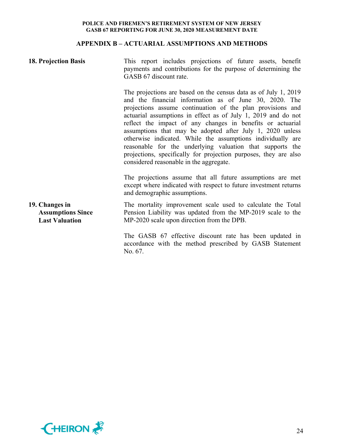# **APPENDIX B – ACTUARIAL ASSUMPTIONS AND METHODS**

| <b>18. Projection Basis</b>                                         | This report includes projections of future assets, benefit<br>payments and contributions for the purpose of determining the<br>GASB 67 discount rate.                                                                                                                                                                                                                                                                                                                                                                                                                                                                          |  |  |  |  |  |
|---------------------------------------------------------------------|--------------------------------------------------------------------------------------------------------------------------------------------------------------------------------------------------------------------------------------------------------------------------------------------------------------------------------------------------------------------------------------------------------------------------------------------------------------------------------------------------------------------------------------------------------------------------------------------------------------------------------|--|--|--|--|--|
|                                                                     | The projections are based on the census data as of July 1, 2019<br>and the financial information as of June 30, 2020. The<br>projections assume continuation of the plan provisions and<br>actuarial assumptions in effect as of July 1, 2019 and do not<br>reflect the impact of any changes in benefits or actuarial<br>assumptions that may be adopted after July 1, 2020 unless<br>otherwise indicated. While the assumptions individually are<br>reasonable for the underlying valuation that supports the<br>projections, specifically for projection purposes, they are also<br>considered reasonable in the aggregate. |  |  |  |  |  |
|                                                                     | The projections assume that all future assumptions are met<br>except where indicated with respect to future investment returns<br>and demographic assumptions.                                                                                                                                                                                                                                                                                                                                                                                                                                                                 |  |  |  |  |  |
| 19. Changes in<br><b>Assumptions Since</b><br><b>Last Valuation</b> | The mortality improvement scale used to calculate the Total<br>Pension Liability was updated from the MP-2019 scale to the<br>MP-2020 scale upon direction from the DPB.                                                                                                                                                                                                                                                                                                                                                                                                                                                       |  |  |  |  |  |
|                                                                     | The GASB 67 effective discount rate has been updated in<br>accordance with the method prescribed by GASB Statement<br>No. 67.                                                                                                                                                                                                                                                                                                                                                                                                                                                                                                  |  |  |  |  |  |

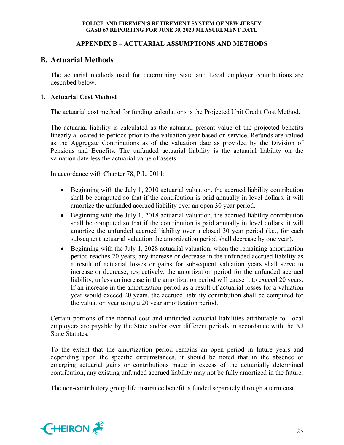# **APPENDIX B – ACTUARIAL ASSUMPTIONS AND METHODS**

# **B. Actuarial Methods**

The actuarial methods used for determining State and Local employer contributions are described below.

# **1. Actuarial Cost Method**

The actuarial cost method for funding calculations is the Projected Unit Credit Cost Method.

The actuarial liability is calculated as the actuarial present value of the projected benefits linearly allocated to periods prior to the valuation year based on service. Refunds are valued as the Aggregate Contributions as of the valuation date as provided by the Division of Pensions and Benefits. The unfunded actuarial liability is the actuarial liability on the valuation date less the actuarial value of assets.

In accordance with Chapter 78, P.L. 2011:

- Beginning with the July 1, 2010 actuarial valuation, the accrued liability contribution shall be computed so that if the contribution is paid annually in level dollars, it will amortize the unfunded accrued liability over an open 30 year period.
- Beginning with the July 1, 2018 actuarial valuation, the accrued liability contribution shall be computed so that if the contribution is paid annually in level dollars, it will amortize the unfunded accrued liability over a closed 30 year period (i.e., for each subsequent actuarial valuation the amortization period shall decrease by one year).
- Beginning with the July 1, 2028 actuarial valuation, when the remaining amortization period reaches 20 years, any increase or decrease in the unfunded accrued liability as a result of actuarial losses or gains for subsequent valuation years shall serve to increase or decrease, respectively, the amortization period for the unfunded accrued liability, unless an increase in the amortization period will cause it to exceed 20 years. If an increase in the amortization period as a result of actuarial losses for a valuation year would exceed 20 years, the accrued liability contribution shall be computed for the valuation year using a 20 year amortization period.

Certain portions of the normal cost and unfunded actuarial liabilities attributable to Local employers are payable by the State and/or over different periods in accordance with the NJ State Statutes.

To the extent that the amortization period remains an open period in future years and depending upon the specific circumstances, it should be noted that in the absence of emerging actuarial gains or contributions made in excess of the actuarially determined contribution, any existing unfunded accrued liability may not be fully amortized in the future.

The non-contributory group life insurance benefit is funded separately through a term cost.

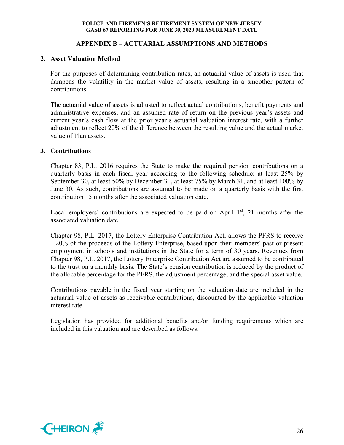# **APPENDIX B – ACTUARIAL ASSUMPTIONS AND METHODS**

# **2. Asset Valuation Method**

For the purposes of determining contribution rates, an actuarial value of assets is used that dampens the volatility in the market value of assets, resulting in a smoother pattern of contributions.

The actuarial value of assets is adjusted to reflect actual contributions, benefit payments and administrative expenses, and an assumed rate of return on the previous year's assets and current year's cash flow at the prior year's actuarial valuation interest rate, with a further adjustment to reflect 20% of the difference between the resulting value and the actual market value of Plan assets.

# **3. Contributions**

Chapter 83, P.L. 2016 requires the State to make the required pension contributions on a quarterly basis in each fiscal year according to the following schedule: at least 25% by September 30, at least 50% by December 31, at least 75% by March 31, and at least 100% by June 30. As such, contributions are assumed to be made on a quarterly basis with the first contribution 15 months after the associated valuation date.

Local employers' contributions are expected to be paid on April  $1<sup>st</sup>$ , 21 months after the associated valuation date.

Chapter 98, P.L. 2017, the Lottery Enterprise Contribution Act, allows the PFRS to receive 1.20% of the proceeds of the Lottery Enterprise, based upon their members' past or present employment in schools and institutions in the State for a term of 30 years. Revenues from Chapter 98, P.L. 2017, the Lottery Enterprise Contribution Act are assumed to be contributed to the trust on a monthly basis. The State's pension contribution is reduced by the product of the allocable percentage for the PFRS, the adjustment percentage, and the special asset value.

Contributions payable in the fiscal year starting on the valuation date are included in the actuarial value of assets as receivable contributions, discounted by the applicable valuation interest rate.

Legislation has provided for additional benefits and/or funding requirements which are included in this valuation and are described as follows.

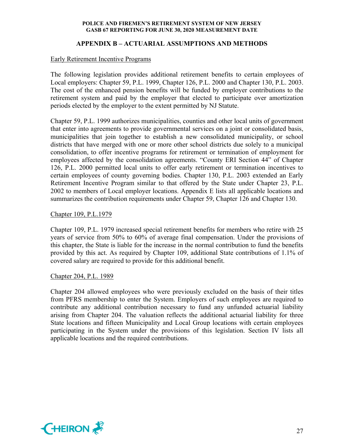# **APPENDIX B – ACTUARIAL ASSUMPTIONS AND METHODS**

# Early Retirement Incentive Programs

The following legislation provides additional retirement benefits to certain employees of Local employers: Chapter 59, P.L. 1999, Chapter 126, P.L. 2000 and Chapter 130, P.L. 2003. The cost of the enhanced pension benefits will be funded by employer contributions to the retirement system and paid by the employer that elected to participate over amortization periods elected by the employer to the extent permitted by NJ Statute.

Chapter 59, P.L. 1999 authorizes municipalities, counties and other local units of government that enter into agreements to provide governmental services on a joint or consolidated basis, municipalities that join together to establish a new consolidated municipality, or school districts that have merged with one or more other school districts due solely to a municipal consolidation, to offer incentive programs for retirement or termination of employment for employees affected by the consolidation agreements. "County ERI Section 44" of Chapter 126, P.L. 2000 permitted local units to offer early retirement or termination incentives to certain employees of county governing bodies. Chapter 130, P.L. 2003 extended an Early Retirement Incentive Program similar to that offered by the State under Chapter 23, P.L. 2002 to members of Local employer locations. Appendix E lists all applicable locations and summarizes the contribution requirements under Chapter 59, Chapter 126 and Chapter 130.

# Chapter 109, P.L.1979

Chapter 109, P.L. 1979 increased special retirement benefits for members who retire with 25 years of service from 50% to 60% of average final compensation. Under the provisions of this chapter, the State is liable for the increase in the normal contribution to fund the benefits provided by this act. As required by Chapter 109, additional State contributions of 1.1% of covered salary are required to provide for this additional benefit.

# Chapter 204, P.L. 1989

Chapter 204 allowed employees who were previously excluded on the basis of their titles from PFRS membership to enter the System. Employers of such employees are required to contribute any additional contribution necessary to fund any unfunded actuarial liability arising from Chapter 204. The valuation reflects the additional actuarial liability for three State locations and fifteen Municipality and Local Group locations with certain employees participating in the System under the provisions of this legislation. Section IV lists all applicable locations and the required contributions.

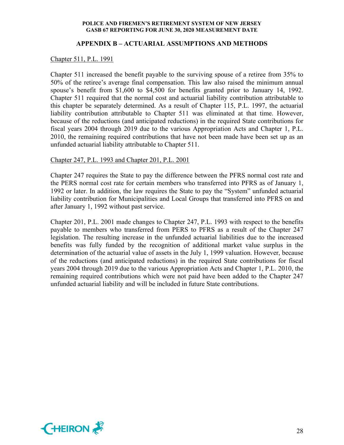# **APPENDIX B – ACTUARIAL ASSUMPTIONS AND METHODS**

#### Chapter 511, P.L. 1991

Chapter 511 increased the benefit payable to the surviving spouse of a retiree from 35% to 50% of the retiree's average final compensation. This law also raised the minimum annual spouse's benefit from \$1,600 to \$4,500 for benefits granted prior to January 14, 1992. Chapter 511 required that the normal cost and actuarial liability contribution attributable to this chapter be separately determined. As a result of Chapter 115, P.L. 1997, the actuarial liability contribution attributable to Chapter 511 was eliminated at that time. However, because of the reductions (and anticipated reductions) in the required State contributions for fiscal years 2004 through 2019 due to the various Appropriation Acts and Chapter 1, P.L. 2010, the remaining required contributions that have not been made have been set up as an unfunded actuarial liability attributable to Chapter 511.

## Chapter 247, P.L. 1993 and Chapter 201, P.L. 2001

Chapter 247 requires the State to pay the difference between the PFRS normal cost rate and the PERS normal cost rate for certain members who transferred into PFRS as of January 1, 1992 or later. In addition, the law requires the State to pay the "System" unfunded actuarial liability contribution for Municipalities and Local Groups that transferred into PFRS on and after January 1, 1992 without past service.

Chapter 201, P.L. 2001 made changes to Chapter 247, P.L. 1993 with respect to the benefits payable to members who transferred from PERS to PFRS as a result of the Chapter 247 legislation. The resulting increase in the unfunded actuarial liabilities due to the increased benefits was fully funded by the recognition of additional market value surplus in the determination of the actuarial value of assets in the July 1, 1999 valuation. However, because of the reductions (and anticipated reductions) in the required State contributions for fiscal years 2004 through 2019 due to the various Appropriation Acts and Chapter 1, P.L. 2010, the remaining required contributions which were not paid have been added to the Chapter 247 unfunded actuarial liability and will be included in future State contributions.

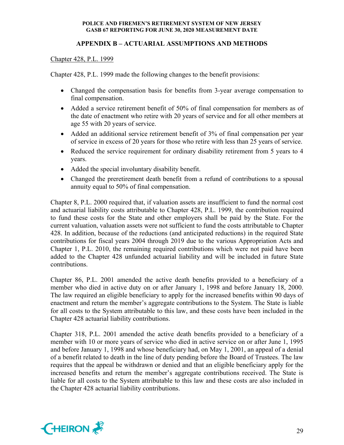# **APPENDIX B – ACTUARIAL ASSUMPTIONS AND METHODS**

# Chapter 428, P.L. 1999

Chapter 428, P.L. 1999 made the following changes to the benefit provisions:

- Changed the compensation basis for benefits from 3-year average compensation to final compensation.
- Added a service retirement benefit of 50% of final compensation for members as of the date of enactment who retire with 20 years of service and for all other members at age 55 with 20 years of service.
- Added an additional service retirement benefit of 3% of final compensation per year of service in excess of 20 years for those who retire with less than 25 years of service.
- Reduced the service requirement for ordinary disability retirement from 5 years to 4 years.
- Added the special involuntary disability benefit.
- Changed the preretirement death benefit from a refund of contributions to a spousal annuity equal to 50% of final compensation.

Chapter 8, P.L. 2000 required that, if valuation assets are insufficient to fund the normal cost and actuarial liability costs attributable to Chapter 428, P.L. 1999, the contribution required to fund these costs for the State and other employers shall be paid by the State. For the current valuation, valuation assets were not sufficient to fund the costs attributable to Chapter 428. In addition, because of the reductions (and anticipated reductions) in the required State contributions for fiscal years 2004 through 2019 due to the various Appropriation Acts and Chapter 1, P.L. 2010, the remaining required contributions which were not paid have been added to the Chapter 428 unfunded actuarial liability and will be included in future State contributions.

Chapter 86, P.L. 2001 amended the active death benefits provided to a beneficiary of a member who died in active duty on or after January 1, 1998 and before January 18, 2000. The law required an eligible beneficiary to apply for the increased benefits within 90 days of enactment and return the member's aggregate contributions to the System. The State is liable for all costs to the System attributable to this law, and these costs have been included in the Chapter 428 actuarial liability contributions.

Chapter 318, P.L. 2001 amended the active death benefits provided to a beneficiary of a member with 10 or more years of service who died in active service on or after June 1, 1995 and before January 1, 1998 and whose beneficiary had, on May 1, 2001, an appeal of a denial of a benefit related to death in the line of duty pending before the Board of Trustees. The law requires that the appeal be withdrawn or denied and that an eligible beneficiary apply for the increased benefits and return the member's aggregate contributions received. The State is liable for all costs to the System attributable to this law and these costs are also included in the Chapter 428 actuarial liability contributions.

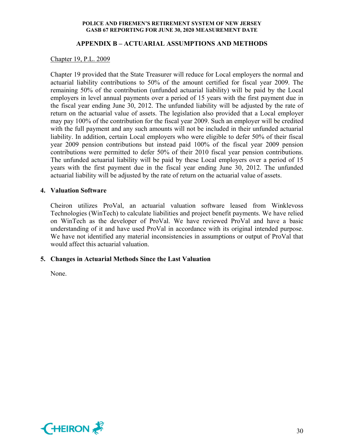# **APPENDIX B – ACTUARIAL ASSUMPTIONS AND METHODS**

# Chapter 19, P.L. 2009

Chapter 19 provided that the State Treasurer will reduce for Local employers the normal and actuarial liability contributions to 50% of the amount certified for fiscal year 2009. The remaining 50% of the contribution (unfunded actuarial liability) will be paid by the Local employers in level annual payments over a period of 15 years with the first payment due in the fiscal year ending June 30, 2012. The unfunded liability will be adjusted by the rate of return on the actuarial value of assets. The legislation also provided that a Local employer may pay 100% of the contribution for the fiscal year 2009. Such an employer will be credited with the full payment and any such amounts will not be included in their unfunded actuarial liability. In addition, certain Local employers who were eligible to defer 50% of their fiscal year 2009 pension contributions but instead paid 100% of the fiscal year 2009 pension contributions were permitted to defer 50% of their 2010 fiscal year pension contributions. The unfunded actuarial liability will be paid by these Local employers over a period of 15 years with the first payment due in the fiscal year ending June 30, 2012. The unfunded actuarial liability will be adjusted by the rate of return on the actuarial value of assets.

# **4. Valuation Software**

Cheiron utilizes ProVal, an actuarial valuation software leased from Winklevoss Technologies (WinTech) to calculate liabilities and project benefit payments. We have relied on WinTech as the developer of ProVal. We have reviewed ProVal and have a basic understanding of it and have used ProVal in accordance with its original intended purpose. We have not identified any material inconsistencies in assumptions or output of ProVal that would affect this actuarial valuation.

# **5. Changes in Actuarial Methods Since the Last Valuation**

None.

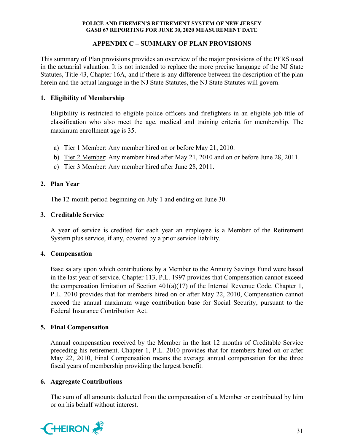# **APPENDIX C – SUMMARY OF PLAN PROVISIONS**

This summary of Plan provisions provides an overview of the major provisions of the PFRS used in the actuarial valuation. It is not intended to replace the more precise language of the NJ State Statutes, Title 43, Chapter 16A, and if there is any difference between the description of the plan herein and the actual language in the NJ State Statutes, the NJ State Statutes will govern.

# **1. Eligibility of Membership**

Eligibility is restricted to eligible police officers and firefighters in an eligible job title of classification who also meet the age, medical and training criteria for membership. The maximum enrollment age is 35.

- a) Tier 1 Member: Any member hired on or before May 21, 2010.
- b) Tier 2 Member: Any member hired after May 21, 2010 and on or before June 28, 2011.
- c) Tier 3 Member: Any member hired after June 28, 2011.

# **2. Plan Year**

The 12-month period beginning on July 1 and ending on June 30.

# **3. Creditable Service**

A year of service is credited for each year an employee is a Member of the Retirement System plus service, if any, covered by a prior service liability.

# **4. Compensation**

Base salary upon which contributions by a Member to the Annuity Savings Fund were based in the last year of service. Chapter 113, P.L. 1997 provides that Compensation cannot exceed the compensation limitation of Section  $401(a)(17)$  of the Internal Revenue Code. Chapter 1, P.L. 2010 provides that for members hired on or after May 22, 2010, Compensation cannot exceed the annual maximum wage contribution base for Social Security, pursuant to the Federal Insurance Contribution Act.

# **5. Final Compensation**

Annual compensation received by the Member in the last 12 months of Creditable Service preceding his retirement. Chapter 1, P.L. 2010 provides that for members hired on or after May 22, 2010, Final Compensation means the average annual compensation for the three fiscal years of membership providing the largest benefit.

# **6. Aggregate Contributions**

The sum of all amounts deducted from the compensation of a Member or contributed by him or on his behalf without interest.

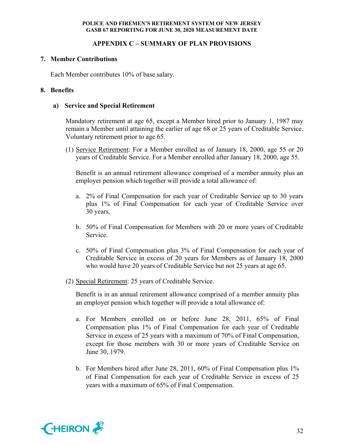# **APPENDIX C – SUMMARY OF PLAN PROVISIONS**

# **7. Member Contributions**

Each Member contributes 10% of base salary.

# **8. Benefits**

# **a) Service and Special Retirement**

Mandatory retirement at age 65, except a Member hired prior to January 1, 1987 may remain a Member until attaining the earlier of age 68 or 25 years of Creditable Service. Voluntary retirement prior to age 65.

(1) Service Retirement: For a Member enrolled as of January 18, 2000, age 55 or 20 years of Creditable Service. For a Member enrolled after January 18, 2000, age 55.

Benefit is an annual retirement allowance comprised of a member annuity plus an employer pension which together will provide a total allowance of:

- a. 2% of Final Compensation for each year of Creditable Service up to 30 years plus 1% of Final Compensation for each year of Creditable Service over 30 years.
- b. 50% of Final Compensation for Members with 20 or more years of Creditable Service.
- c. 50% of Final Compensation plus 3% of Final Compensation for each year of Creditable Service in excess of 20 years for Members as of January 18, 2000 who would have 20 years of Creditable Service but not 25 years at age 65.
- (2) Special Retirement: 25 years of Creditable Service.

Benefit is in an annual retirement allowance comprised of a member annuity plus an employer pension which together will provide a total allowance of:

- a. For Members enrolled on or before June 28, 2011, 65% of Final Compensation plus 1% of Final Compensation for each year of Creditable Service in excess of 25 years with a maximum of 70% of Final Compensation, except for those members with 30 or more years of Creditable Service on June 30, 1979.
- b. For Members hired after June 28, 2011, 60% of Final Compensation plus 1% of Final Compensation for each year of Creditable Service in excess of 25 years with a maximum of 65% of Final Compensation.

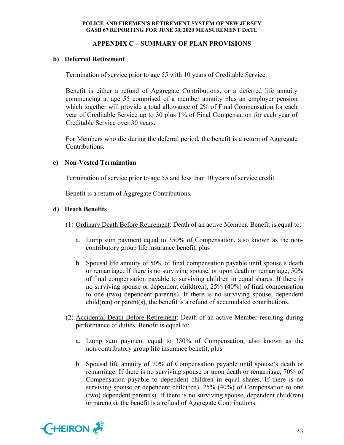# **APPENDIX C – SUMMARY OF PLAN PROVISIONS**

# **b) Deferred Retirement**

Termination of service prior to age 55 with 10 years of Creditable Service.

Benefit is either a refund of Aggregate Contributions, or a deferred life annuity commencing at age 55 comprised of a member annuity plus an employer pension which together will provide a total allowance of 2% of Final Compensation for each year of Creditable Service up to 30 plus 1% of Final Compensation for each year of Creditable Service over 30 years.

For Members who die during the deferral period, the benefit is a return of Aggregate Contributions.

# **c) Non-Vested Termination**

Termination of service prior to age 55 and less than 10 years of service credit.

Benefit is a return of Aggregate Contributions.

# **d) Death Benefits**

- (1) Ordinary Death Before Retirement: Death of an active Member. Benefit is equal to:
	- a. Lump sum payment equal to 350% of Compensation, also known as the noncontributory group life insurance benefit, plus
	- b. Spousal life annuity of 50% of final compensation payable until spouse's death or remarriage. If there is no surviving spouse, or upon death or remarriage, 50% of final compensation payable to surviving children in equal shares. If there is no surviving spouse or dependent child(ren), 25% (40%) of final compensation to one (two) dependent parent(s). If there is no surviving spouse, dependent child(ren) or parent(s), the benefit is a refund of accumulated contributions.
- (2) Accidental Death Before Retirement: Death of an active Member resulting during performance of duties. Benefit is equal to:
	- a. Lump sum payment equal to 350% of Compensation, also known as the non-contributory group life insurance benefit, plus
	- b. Spousal life annuity of 70% of Compensation payable until spouse's death or remarriage. If there is no surviving spouse or upon death or remarriage, 70% of Compensation payable to dependent children in equal shares. If there is no surviving spouse or dependent child(ren), 25% (40%) of Compensation to one (two) dependent parent(s). If there is no surviving spouse, dependent child(ren) or parent(s), the benefit is a refund of Aggregate Contributions.

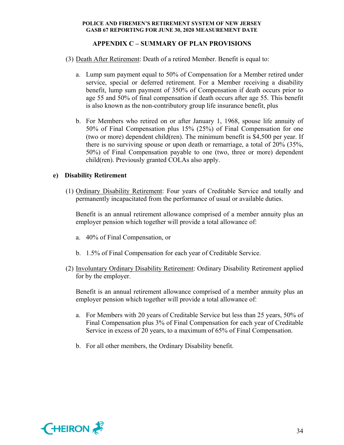# **APPENDIX C – SUMMARY OF PLAN PROVISIONS**

- (3) Death After Retirement: Death of a retired Member. Benefit is equal to:
	- a. Lump sum payment equal to 50% of Compensation for a Member retired under service, special or deferred retirement. For a Member receiving a disability benefit, lump sum payment of 350% of Compensation if death occurs prior to age 55 and 50% of final compensation if death occurs after age 55. This benefit is also known as the non-contributory group life insurance benefit, plus
	- b. For Members who retired on or after January 1, 1968, spouse life annuity of 50% of Final Compensation plus 15% (25%) of Final Compensation for one (two or more) dependent child(ren). The minimum benefit is \$4,500 per year. If there is no surviving spouse or upon death or remarriage, a total of 20% (35%, 50%) of Final Compensation payable to one (two, three or more) dependent child(ren). Previously granted COLAs also apply.

# **e) Disability Retirement**

(1) Ordinary Disability Retirement: Four years of Creditable Service and totally and permanently incapacitated from the performance of usual or available duties.

Benefit is an annual retirement allowance comprised of a member annuity plus an employer pension which together will provide a total allowance of:

- a. 40% of Final Compensation, or
- b. 1.5% of Final Compensation for each year of Creditable Service.
- (2) Involuntary Ordinary Disability Retirement: Ordinary Disability Retirement applied for by the employer.

Benefit is an annual retirement allowance comprised of a member annuity plus an employer pension which together will provide a total allowance of:

- a. For Members with 20 years of Creditable Service but less than 25 years, 50% of Final Compensation plus 3% of Final Compensation for each year of Creditable Service in excess of 20 years, to a maximum of 65% of Final Compensation.
- b. For all other members, the Ordinary Disability benefit.

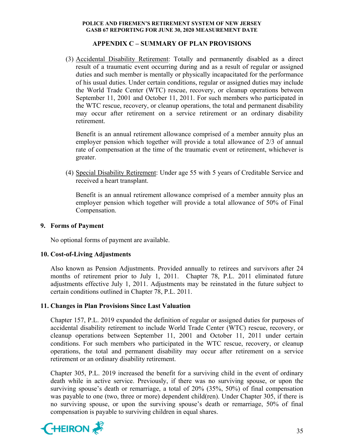# **APPENDIX C – SUMMARY OF PLAN PROVISIONS**

(3) Accidental Disability Retirement: Totally and permanently disabled as a direct result of a traumatic event occurring during and as a result of regular or assigned duties and such member is mentally or physically incapacitated for the performance of his usual duties. Under certain conditions, regular or assigned duties may include the World Trade Center (WTC) rescue, recovery, or cleanup operations between September 11, 2001 and October 11, 2011. For such members who participated in the WTC rescue, recovery, or cleanup operations, the total and permanent disability may occur after retirement on a service retirement or an ordinary disability retirement.

Benefit is an annual retirement allowance comprised of a member annuity plus an employer pension which together will provide a total allowance of 2/3 of annual rate of compensation at the time of the traumatic event or retirement, whichever is greater.

(4) Special Disability Retirement: Under age 55 with 5 years of Creditable Service and received a heart transplant.

Benefit is an annual retirement allowance comprised of a member annuity plus an employer pension which together will provide a total allowance of 50% of Final Compensation.

# **9. Forms of Payment**

No optional forms of payment are available.

# **10. Cost-of-Living Adjustments**

Also known as Pension Adjustments. Provided annually to retirees and survivors after 24 months of retirement prior to July 1, 2011. Chapter 78, P.L. 2011 eliminated future adjustments effective July 1, 2011. Adjustments may be reinstated in the future subject to certain conditions outlined in Chapter 78, P.L. 2011.

# **11. Changes in Plan Provisions Since Last Valuation**

Chapter 157, P.L. 2019 expanded the definition of regular or assigned duties for purposes of accidental disability retirement to include World Trade Center (WTC) rescue, recovery, or cleanup operations between September 11, 2001 and October 11, 2011 under certain conditions. For such members who participated in the WTC rescue, recovery, or cleanup operations, the total and permanent disability may occur after retirement on a service retirement or an ordinary disability retirement.

Chapter 305, P.L. 2019 increased the benefit for a surviving child in the event of ordinary death while in active service. Previously, if there was no surviving spouse, or upon the surviving spouse's death or remarriage, a total of 20% (35%, 50%) of final compensation was payable to one (two, three or more) dependent child(ren). Under Chapter 305, if there is no surviving spouse, or upon the surviving spouse's death or remarriage, 50% of final compensation is payable to surviving children in equal shares.

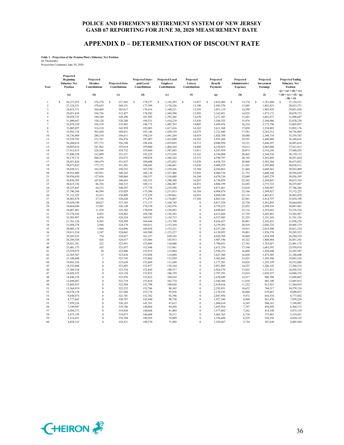# **APPENDIX D – DETERMINATION OF DISCOUNT RATE**

# **Table 1 - Projection of the Pension Plan's Fiduciary Net Position** (In Thousands) Projections Commence June 30, 2020

| Year                    | Projected<br><b>Beginning</b><br><b>Fiduciary Net</b><br>Position | Projected<br>Member<br>Contributions | <b>Projected State</b><br>Contributions | <b>Projected State-</b><br>paid Local<br>Contributions | <b>Projected Local</b><br><b>Employer</b><br>Contributions | Projected<br>Lottery<br>Contributions | Projected<br><b>Benefit</b><br>Payments | Projected<br>Administrative<br><b>Expenses</b> | Projected<br>Investment<br><b>Earnings</b> | <b>Projected Ending</b><br><b>Fiduciary Net</b><br>Position<br>$(j) = (a) + (b) + (c)$ |
|-------------------------|-------------------------------------------------------------------|--------------------------------------|-----------------------------------------|--------------------------------------------------------|------------------------------------------------------------|---------------------------------------|-----------------------------------------|------------------------------------------------|--------------------------------------------|----------------------------------------------------------------------------------------|
|                         | (a)                                                               | (b)                                  | (c)                                     | (d)                                                    | (e)                                                        | (f)                                   | (g)                                     | (h)                                            | (i)                                        | $+(d)+(e)+(f)-(g)$<br>$-(h) + (i)$                                                     |
|                         | Ś<br>26,217,951                                                   | \$<br>376,370                        | s<br>257,565                            | \$<br>178,577                                          | s<br>1,145,293                                             | \$<br>13,037                          | s<br>2,832,489                          | s<br>13,374                                    | 1,781,600<br>\$                            | s<br>27,124,531                                                                        |
| $\overline{2}$          | 27,124,531                                                        | 370,635                              | 268,531                                 | 177,599                                                | 1,176,526                                                  | 13,190                                | 2,943,570                               | 13,893                                         | 1,841,823                                  | 28,015,371                                                                             |
| $\overline{\mathbf{3}}$ | 28,015,371                                                        | 364,469                              | 303,617                                 | 176,416                                                | 1,340,211                                                  | 13,343                                | 3,051,119                               | 14,399                                         | 1,903,929                                  | 29,051,838                                                                             |
| $\overline{4}$          | 29,051,838                                                        | 356,756                              | 312,457                                 | 178,582                                                | 1,369,390                                                  | 13,505                                | 3,162,051                               | 14,925                                         | 1,973,171                                  | 30,078,723                                                                             |
| 5                       | 30,078,723                                                        | 348.249                              | 320,306                                 | 181.505                                                | 1.393.266                                                  | 13,670                                | 3.271.307                               | 15,441                                         | 2,041,677                                  | 31,090,647                                                                             |
| 6                       | 31,090,647                                                        | 338,128                              | 328,288                                 | 184,531                                                | 1,414,234                                                  | 13,836                                | 3,384,355                               | 15,976                                         | 2,108,906                                  | 32,078,239                                                                             |
| 7                       | 32,078,239                                                        | 326,519                              | 335,962                                 | 188,773                                                | 1,403,763                                                  | 14,005                                | 3,499,476                               | 16,524                                         | 2,173,796                                  | 33,005,057                                                                             |
| 8                       | 33,005,057                                                        | 314,318                              | 342,959                                 | 192,003                                                | 1,417,416                                                  | 14,165                                | 3,611,568                               | 17,058                                         | 2,234,883                                  | 33,892,176                                                                             |
| $\mathbf Q$             | 33,892,176                                                        | 301,420                              | 349,631                                 | 195,146                                                | 1,430,339                                                  | 14,275                                | 3,721,649                               | 17,581                                         | 2,293,212                                  | 34,736,969                                                                             |
| 10                      | 34,736,969                                                        | 288,310                              | 356,611                                 | 198,219                                                | 1,441,284                                                  | 14,419                                | 3,826,708                               | 18,080                                         | 2,348,718                                  | 35,539,743                                                                             |
| 11                      | 35,539,743                                                        | 273,761                              | 356,476                                 | 197,407                                                | 1,432,040                                                  | 14,565                                | 3,935,266                               | 18,593                                         | 2,400,484                                  | 36,260,616                                                                             |
| 12                      | 36,260,616                                                        | 257,733                              | 356,180                                 | 196,456                                                | 1,419,693                                                  | 14,712                                | 4,046,950                               | 19,121                                         | 2,446,297                                  | 36,885,616                                                                             |
| 13                      | 36,885,616                                                        | 241,962                              | 355,614                                 | 195,060                                                | 1,404,164                                                  | 14,860                                | 4,150,855                               | 19,613                                         | 2,485,604                                  | 37,412,413                                                                             |
| 14                      | 37,412,413                                                        | 226,366                              | 354,732                                 | 193,660                                                | 1,387,843                                                  | 15,011                                | 4,247,950                               | 20,073                                         | 2,518,256                                  | 37,840,258                                                                             |
| 15<br>16                | 37,840,258<br>38,179,173                                          | 212,009<br>200,291                   | 353,327<br>352,072                      | 192,225<br>190,838                                     | 1,372,938<br>1,360,182                                     | 15,162<br>15,315                      | 4,330,808<br>4,390,797                  | 20,465<br>20,745                               | 2,544,526<br>2,565,495                     | 38,179,173<br>38,451,824                                                               |
| 17                      | 38,451,824                                                        | 189,479                              | 351,937                                 | 189,608                                                | 1,352,052                                                  | 15,470                                | 4,438,755                               | 20,968                                         | 2,582,384                                  | 38,673,032                                                                             |
| 18                      | 38,673,032                                                        | 177,172                              | 351,501                                 | 188,645                                                | 1,346,661                                                  | 15,626                                | 4,488,529                               | 21,201                                         | 2,595,604                                  | 38,838,511                                                                             |
| 19                      | 38,838,511                                                        | 162,549                              | 350,352                                 | 187,550                                                | 1,339,426                                                  | 15,784                                | 4,544,863                               | 21,464                                         | 2,604,563                                  | 38,932,409                                                                             |
| 20                      | 38,932,409                                                        | 145,831                              | 349,243                                 | 186,138                                                | 1,327,406                                                  | 15,943                                | 4,606,726                               | 21,753                                         | 2,608,160                                  | 38,936,650                                                                             |
| 21                      | 38,936,650                                                        | 127,656                              | 348,066                                 | 184,337                                                | 1,310,688                                                  | 16,104                                | 4,670,336                               | 22,049                                         | 2,605,278                                  | 38,836,395                                                                             |
| 22                      | 38,836,395                                                        | 107,814                              | 346,643                                 | 182,333                                                | 1,290,360                                                  | 16,267                                | 4,736,959                               | 22,362                                         | 2,594,847                                  | 38,615,336                                                                             |
| 23                      | 38,615,336                                                        | 86,336                               | 344,315                                 | 180,111                                                | 1,266,487                                                  | 16,431                                | 4,806,199                               | 22,693                                         | 2,575,722                                  | 38,255,847                                                                             |
| 24                      | 38,255,847                                                        | 64,233                               | 340,287                                 | 177,778                                                | 1,239,588                                                  | 16,597                                | 4,871,961                               | 23,010                                         | 2,546,907                                  | 37,746,266                                                                             |
| 25                      | 37,746,266                                                        | 46,584                               | 335,029                                 | 175,386                                                | 1,211,013                                                  | 16,764                                | 4,904,479                               | 23,166                                         | 2,508,827                                  | 37,112,225                                                                             |
| 26                      | 37,112,225                                                        | 35,415                               | 330,809                                 | 173,229                                                | 1,189,061                                                  | 16,933                                | 4,894,549                               | 23,116                                         | 2,463,871                                  | 36,403,878                                                                             |
| 27                      | 36,403,878                                                        | 27,156                               | 328,620                                 | 171,978                                                | 1,176,807                                                  | 17,104                                | 4,863,181                               | 22,961                                         | 2,414,797                                  | 35,654,198                                                                             |
| 28                      | 35,654,198                                                        | 20,627                               | 327,183                                 | 171,137                                                | 1,168,745                                                  | $\theta$                              | 4,817,354                               | 22,736                                         | 2,362,895                                  | 34,864,694                                                                             |
| 29                      | 34,864,694                                                        | 15,501                               | 326,140                                 | 170,510                                                | 1,162,976                                                  | $\theta$                              | 4,759,212                               | 22,452                                         | 2,309,324                                  | 34,067,481                                                                             |
| 30                      | 34,067,481                                                        | 11,529                               | 325,382                                 | 170,058                                                | 1,158,993                                                  | $\Omega$                              | 4,690,463                               | 22,116                                         | 2,255,662                                  | 33,276,526                                                                             |
| 31                      | 33,276,526                                                        | 8,433                                | 324,862                                 | 169,749                                                | 1,156,382                                                  | $\theta$                              | 4,613,026                               | 21,739                                         | 2,202,801                                  | 32,503,987                                                                             |
| 32                      | 32,503,987                                                        | 6,076                                | 324,524                                 | 169,551                                                | 1,154,715                                                  | $\theta$                              | 4,527,945                               | 21,325                                         | 2,151,543                                  | 31,761,126                                                                             |
| 33                      | 31,761,126                                                        | 4,285                                | 324,309                                 | 169,444                                                | 1,153,798                                                  | $\theta$                              | 4,436,427                               | 20,881                                         | 2,102,623                                  | 31,058,278                                                                             |
| 34                      | 31,058,278                                                        | 2.944                                | 324,170                                 | 169,411                                                | 1.153.364                                                  | $\theta$                              | 4.339.303                               | 20,410                                         | 2,056,725                                  | 30,405,179                                                                             |
| 35                      | 30,405,179                                                        | 1,964                                | 324,096                                 | 169,434                                                | 1,153,221                                                  | $\theta$                              | 4,237,245                               | 19,915                                         | 2,014,500                                  | 29,811,234                                                                             |
| 36                      | 29,811,234                                                        | 1,247                                | 324,062                                 | 169,500                                                | 1,153,257                                                  | $\theta$                              | 4,130,952                               | 19,401                                         | 1,976,576                                  | 29,285,523                                                                             |
| 37                      | 29,285,523                                                        | 754                                  | 324,037                                 | 161,237                                                | 628,242                                                    | $\theta$                              | 4,020,769                               | 18,869                                         | 1,934,399                                  | 28,294,554                                                                             |
| 38                      | 28,294,554                                                        | 426                                  | 324,017                                 | 153,466                                                | 143,913                                                    | $\theta$                              | 3,907,196                               | 18,322                                         | 1,860,484                                  | 26,851,341                                                                             |
| 39                      | 26,851,341                                                        | 222                                  | 323,991                                 | 153,009                                                | 118,000                                                    | $\Omega$                              | 3,790,653                               | 17,762                                         | 1,763,027                                  | 25,401,175                                                                             |
| 40                      | 25,401,175                                                        | 103                                  | 323,957                                 | 152,948                                                | 115,961                                                    | $\theta$                              | 3,671,570                               | 17,190                                         | 1,665,591                                  | 23,970,974                                                                             |
| 41                      | 23,970,974                                                        | 38                                   | 323,906                                 | 152,919                                                | 115,064                                                    | $\theta$                              | 3,550,352                               | 16,609                                         | 1,569,648                                  | 22,565,587                                                                             |
| 42                      | 22,565,587                                                        | 13                                   | 323,836                                 | 152,898                                                | 114,088                                                    | $\theta$                              | 3,427,300                               | 16,020                                         | 1,475,505                                  | 21,188,608                                                                             |
| 43                      | 21,188,608                                                        | $\mathfrak z$                        | 323,745                                 | 152,882                                                | 112,959                                                    | $\overline{0}$                        | 3,302,842                               | 15,425                                         | 1,383,396                                  | 19,843,326                                                                             |
| 44                      | 19,843,326                                                        | $\mathbf{0}$                         | 323,630                                 | 152,869                                                | 111,649                                                    | $\theta$                              | 3,177,301                               | 14,826                                         | 1,293,539                                  | 18,532,886                                                                             |
| 45                      | 18,532,886                                                        | $\theta$                             | 323,493                                 | 152,857                                                | 110,164                                                    | $\theta$                              | 3,051,005                               | 14,225                                         | 1,206,145                                  | 17,260,316                                                                             |
| 46                      | 17,260,316                                                        | $\mathbf{0}$<br>$\theta$             | 323,334                                 | 152,845                                                | 108,517                                                    | $\theta$<br>$\theta$                  | 2,924,270                               | 13,622                                         | 1,121,412                                  | 16,028,532                                                                             |
| 47                      | 16,028,532                                                        | $\theta$                             | 323,154                                 | 152,833                                                | 106,729                                                    | $\theta$                              | 2,797,391                               | 13,019                                         | 1,039,537                                  | 14,840,376                                                                             |
| 48                      | 14,840,376                                                        | $\overline{0}$                       | 322,956                                 | 152,822                                                | 104,810                                                    | $\theta$                              | 2,670,649                               | 12,417                                         | 960,708                                    | 13,698,607                                                                             |
| 49<br>50                | 13,698,607                                                        | $\theta$                             | 322,739<br>322,504                      | 152,810<br>152,798                                     | 102,774<br>100,620                                         | $\theta$                              | 2,544,306                               | 11,818                                         | 885,109<br>812,921                         | 12,605,915<br>11,564,919                                                               |
| 51                      | 12,605,915                                                        | $\theta$                             |                                         |                                                        |                                                            | $\theta$                              | 2,418,616                               | 11,222                                         |                                            |                                                                                        |
| 52                      | 11,564,919<br>10,578,154                                          | $\theta$                             | 322,252<br>321,984                      | 152,786<br>152,774                                     | 98,342<br>95,936                                           | $\bf{0}$                              | 2,293,831<br>2,170,195                  | 10,632<br>10,048                               | 744,317<br>679,467                         | 10,578,154<br>9,648,073                                                                |
| 53                      | 9,648,073                                                         | $\theta$                             | 321,701                                 | 152,762                                                | 93,398                                                     | $\theta$                              | 2,047,956                               | 9,472                                          | 618,534                                    | 8,777,042                                                                              |
| 54                      | 8,777,042                                                         | $\theta$                             | 320,797                                 | 145,440                                                | 90,730                                                     | $\theta$                              | 1,927,349                               | 8,904                                          | 561,470                                    | 7,959,226                                                                              |
| 55                      | 7,959,226                                                         | $\overline{0}$                       | 320,183                                 | 141,761                                                | 87,612                                                     | $\overline{0}$                        | 1,808,610                               | 8,345                                          | 508,161                                    | 7,199,987                                                                              |
| 56                      | 7,199,987                                                         | $\theta$                             | 319,786                                 | 140,884                                                | 84,509                                                     | $\Omega$                              | 1,691,954                               | 7,797                                          | 458,959                                    | 6,504,373                                                                              |
| 57                      | 6,504,373                                                         | $\mathbf{0}$                         | 319,430                                 | 140,668                                                | 81,404                                                     | $\theta$                              | 1,577,602                               | 7,262                                          | 414,148                                    | 5,875,159                                                                              |
| 58                      | 5,875,159                                                         | $\theta$                             | 319,073                                 | 140,608                                                | 78,211                                                     | $\theta$                              | 1,465,763                               | 6,738                                          | 373,901                                    | 5,314,451                                                                              |
| 59                      | 5,314,451                                                         | $\theta$                             | 318,704                                 | 140,585                                                | 74,909                                                     | $\Omega$                              | 1,356,648                               | 6,229                                          | 338,354                                    | 4,824,125                                                                              |
| 60                      | 4,824,125                                                         | $\theta$                             | 318,321                                 | 140,570                                                | 71,499                                                     | $\theta$                              | 1,250,467                               | 5,734                                          | 307,630                                    | 4,405,944                                                                              |
|                         |                                                                   |                                      |                                         |                                                        |                                                            |                                       |                                         |                                                |                                            |                                                                                        |

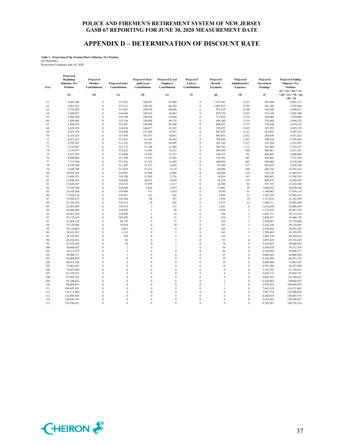# **APPENDIX D – DETERMINATION OF DISCOUNT RATE**

# **Table 1 - Projection of the Pension Plan's Fiduciary Net Position** (In Thousands) Projections Commence June 30, 2020

| Year       | Projected<br>Beginning<br><b>Fiduciary Net</b><br><b>Position</b> | Projected<br>Member<br><b>Contributions</b> | <b>Projected State</b><br><b>Contributions</b> | <b>Projected State-</b><br>paid Local<br><b>Contributions</b> | <b>Projected Local</b><br><b>Employer</b><br><b>Contributions</b> | Projected<br>Lottery<br><b>Contributions</b> | Projected<br><b>Benefit</b><br><b>Payments</b> | Projected<br>Administrative<br><b>Expenses</b> | Projected<br>Investment<br><b>Earnings</b> | <b>Projected Ending</b><br><b>Fiduciary Net</b><br>Position   |
|------------|-------------------------------------------------------------------|---------------------------------------------|------------------------------------------------|---------------------------------------------------------------|-------------------------------------------------------------------|----------------------------------------------|------------------------------------------------|------------------------------------------------|--------------------------------------------|---------------------------------------------------------------|
|            | (a)                                                               | (b)                                         | (c)                                            | (d)                                                           | (e)                                                               | (f)                                          | (g)                                            | (h)                                            | (i)                                        | $(j) = (a) + (b) + (c)$<br>$+(d)+(e)+(f)-(g)$<br>$-(h) + (i)$ |
| 61         | 4,405,944                                                         | $\overline{0}$                              | 317,923                                        | 140,557                                                       | 67,980                                                            | $\boldsymbol{0}$                             | 1,147,442                                      | 5,255                                          | 281,844                                    | 4,061,551                                                     |
| 62         | 4,061,551                                                         | $\theta$                                    | 317,511                                        | 140,545                                                       | 64,358                                                            | $\bf{0}$                                     | 1,047,812                                      | 4,793                                          | 261,104                                    | 3,792,464                                                     |
| 63         | 3,792,464                                                         | $\theta$                                    | 317,083                                        | 140,534                                                       | 60,648                                                            | $\theta$                                     | 951,819                                        | 4,348                                          | 245,508                                    | 3,600,071                                                     |
| 64         | 3,600,071                                                         | $\theta$                                    | 316,646                                        | 140,522                                                       | 56,863                                                            | $\bf{0}$                                     | 859,734                                        | 3,923                                          | 235,144                                    | 3,485,588                                                     |
| 65         | 3,485,588                                                         | $\theta$                                    | 316,198                                        | 140,510                                                       | 53,030                                                            | $\Omega$                                     | 771,829                                        | 3,518                                          | 230,088                                    | 3,450,066                                                     |
| 66         | 3,450,066                                                         | $\mathbf{0}$                                | 315,744                                        | 140,499                                                       | 49,178                                                            | $\boldsymbol{0}$                             | 688,380                                        | 3,134                                          | 230,404                                    | 3,494,376                                                     |
| 67         | 3,494,376                                                         | $\theta$                                    | 315,287                                        | 140,488                                                       | 45,346                                                            | $\theta$                                     | 609,652                                        | 2,773                                          | 236,146                                    | 3,619,218                                                     |
| 68         | 3,619,218                                                         | $\theta$                                    | 314,834                                        | 140,477                                                       | 41,583                                                            | $\theta$                                     | 535,872                                        | 2,435                                          | 247,355                                    | 3,825,159                                                     |
| 69         | 3,825,159                                                         | $\theta$                                    | 314,389                                        | 131,566                                                       | 37,927                                                            | $\theta$                                     | 467,229                                        | 2,121                                          | 263,835                                    | 4,103,525                                                     |
| 70         | 4,103,525                                                         | $\theta$                                    | 313,956                                        | 101,347                                                       | 34,031                                                            | $\bf{0}$                                     | 403,853                                        | 1,832                                          | 284,648                                    | 4,431,823                                                     |
| 71         | 4,431,823                                                         | $\theta$                                    | 313,541                                        | 63,305                                                        | 29,364                                                            | $\theta$                                     | 345,820                                        | 1,567                                          | 308,556                                    | 4,799,203                                                     |
| 72         | 4,799,203                                                         | $\theta$                                    | 313,145                                        | 54,321                                                        | 24,505                                                            | $\theta$                                     | 293,144                                        | 1,327                                          | 335,764                                    | 5,232,467                                                     |
| 73         | 5,232,467                                                         | $\theta$                                    | 312,772                                        | 52,198                                                        | 21,090                                                            | $\theta$                                     | 245,782                                        | 1,112                                          | 367,604                                    | 5,739,237                                                     |
| 74         | 5,739,237                                                         | $\overline{0}$                              | 312,422                                        | 51,693                                                        | 18,252                                                            | $\boldsymbol{0}$                             | 203,644                                        | 920                                            | 404,461                                    | 6,321,501                                                     |
| 75         | 6,321,501                                                         | $\theta$                                    | 312,096                                        | 51,569                                                        | 15,727                                                            | $\Omega$                                     | 166,579                                        | 752                                            | 446,443                                    | 6,980,004                                                     |
| 76         | 6,980,004                                                         | $\mathbf{0}$<br>$\theta$                    | 311,796                                        | 51,535                                                        | 13,456                                                            | $\bf{0}$                                     | 134,392                                        | 607                                            | 493,601                                    | 7,715,394                                                     |
| 77         | 7,715,394                                                         |                                             | 311,526                                        | 51,523                                                        | 11,430                                                            | $\theta$                                     | 106,829                                        | 482                                            | 545,986                                    | 8,528,548                                                     |
| 78         | 8,528,548                                                         | $\theta$<br>$\theta$                        | 311,285                                        | 51,517                                                        | 9,649                                                             | $\bf{0}$<br>$\theta$                         | 83,586                                         | 377                                            | 603,672                                    | 9,420,708                                                     |
| 79<br>80   | 9.420.708                                                         | $\mathbf{0}$                                | 311,076                                        | 51,512                                                        | 8,110                                                             | $\bf{0}$                                     | 64,308                                         | 290<br>219                                     | 666,756                                    | 10,393,563                                                    |
| 81         | 10,393,563<br>11,449,321                                          | $\theta$                                    | 310,897<br>310,748                             | 51,508<br>51,505                                              | 6,806<br>5,726                                                    | $\theta$                                     | 48,604<br>36,054                               | 163                                            | 735,370<br>809,683                         | 11,449,321<br>12,590,765                                      |
| 82         | 12,590,765                                                        | $\theta$                                    | 310,628                                        | 50,531                                                        | 4,850                                                             | $\theta$                                     | 26,228                                         | 119                                            | 889,879                                    | 13,820,307                                                    |
| 83         | 13,820,307                                                        | $\theta$                                    | 310,533                                        | 11,939                                                        | 4,117                                                             | $\theta$                                     | 18,700                                         | 85                                             | 975,193                                    | 15,103,304                                                    |
| 84         | 15,103,304                                                        | $\mathbf{0}$                                | 310,460                                        | 2,826                                                         | 1,913                                                             | $\overline{0}$                               | 13,062                                         | 59                                             | 1,064,922                                  | 16,470,304                                                    |
| 85         | 16,470,304                                                        | $\theta$                                    | 310,406                                        | 671                                                           | 1,034                                                             | $\theta$                                     | 8,939                                          | 41                                             | 1,160,682                                  | 17,934,116                                                    |
| 86         | 17,934,116                                                        | $\mathbf{0}$                                | 310,367                                        | 161                                                           | 626                                                               | $\mathbf{0}$                                 | 5,999                                          | 27                                             | 1,263,229                                  | 19,502,472                                                    |
| 87         | 19,502,472                                                        | $\theta$                                    | 310,340                                        | 40                                                            | 393                                                               | $\theta$                                     | 3,956                                          | 18                                             | 1,373,076                                  | 21,182,345                                                    |
| 88         | 21,182,345                                                        | $\theta$                                    | 310,322                                        | 10                                                            | 245                                                               | $\bf{0}$                                     | 2,573                                          | 12                                             | 1,490,711                                  | 22,981,049                                                    |
| 89         | 22,981,049                                                        | $\theta$                                    | 310,310                                        | $\overline{\mathbf{3}}$                                       | 151                                                               | $\theta$                                     | 1,661                                          | 8                                              | 1,616,650                                  | 24,906,494                                                    |
| 90         | 24,906,494                                                        | $\mathbf{0}$                                | 310,303                                        | $\mathbf{1}$                                                  | 90                                                                | $\theta$                                     | 1,074                                          | 5                                              | 1,751,450                                  | 26,967,259                                                    |
| 91         | 26,967,259                                                        | $\theta$                                    | 310,298                                        | $\mathbf{1}$                                                  | 53                                                                | $\mathbf{0}$                                 | 704                                            | $\overline{\mathbf{3}}$                        | 1,895,715                                  | 29,172,619                                                    |
| 92         | 29,172,619                                                        | $\theta$                                    | 247,492                                        | $\theta$                                                      | 31                                                                | $\mathbf{0}$                                 | 474                                            | $\overline{2}$                                 | 2,048,473                                  | 31,468,138                                                    |
| 93         | 31,468,138                                                        | $\theta$                                    | 66,778                                         | $\theta$                                                      | 17                                                                | $\theta$                                     | 332                                            | $\overline{2}$                                 | 2,204,487                                  | 33,739,086                                                    |
| 94         | 33,739,086                                                        | $\mathbf{0}$                                | 18,018                                         | $\theta$                                                      | 10                                                                | $\bf{0}$                                     | 243                                            | 1                                              | 2,362,194                                  | 36,119,065                                                    |
| 95         | 36,119,065                                                        | $\theta$                                    | 4,862                                          | $\theta$                                                      | 6                                                                 | $\theta$                                     | 185                                            | 1                                              | 2,528,454                                  | 38,652,201                                                    |
| 96         | 38,652,201                                                        | $\mathbf{0}$                                | 1,312                                          | $\theta$                                                      | 3                                                                 | $\bf{0}$                                     | 145                                            | $\mathbf{1}$                                   | 2,705,683                                  | 41,359,053                                                    |
| 97         | 41,359,053                                                        | $\theta$                                    | 354                                            | $\Omega$                                                      | $\overline{c}$                                                    | $\theta$                                     | 116                                            | $\mathbf{1}$                                   | 2,895,139                                  | 44,254,432                                                    |
| 98         | 44,254,432                                                        | $\mathbf{0}$                                | 96                                             | $\theta$                                                      | $\mathbf{1}$                                                      | $\bf{0}$                                     | 93                                             | $\bf{0}$                                       | 3,097,810                                  | 47,352,245                                                    |
| 99         | 47,352,245                                                        | $\theta$                                    | 26                                             | $\theta$                                                      | $\mathbf{1}$                                                      | $\theta$                                     | 74                                             | $\boldsymbol{0}$                               | 3,314,655                                  | 50,666,852                                                    |
| 100        | 50,666,852                                                        | $\mathbf{0}$                                | $\overline{7}$                                 | $\theta$                                                      | $\mathbf{1}$                                                      | $\overline{0}$                               | 59                                             | $\boldsymbol{0}$                               | 3,546,678                                  | 54,213,479                                                    |
| 101        | 54,213,479                                                        | $\theta$                                    | $\overline{2}$                                 | $\Omega$                                                      | $\theta$                                                          | $\theta$                                     | 46                                             | $\theta$                                       | 3,794,942                                  | 58,008,377                                                    |
| 102        | 58,008,377                                                        | $\theta$                                    | $\mathbf{1}$                                   | $\theta$                                                      | $\theta$                                                          | $\theta$                                     | 35                                             | $\theta$                                       | 4,060,585                                  | 62,068,928                                                    |
| 103        | 62,068,928                                                        | $\theta$                                    | $\theta$                                       | $\theta$                                                      | $\theta$                                                          | $\theta$                                     | 26                                             | $\theta$                                       | 4,344,824                                  | 66,413,726                                                    |
| 104        | 66,413,726                                                        | $\mathbf{0}$<br>$\theta$                    | $\theta$<br>$\theta$                           | $\theta$<br>$\theta$                                          | $\theta$<br>$\theta$                                              | $\bf{0}$<br>$\theta$                         | 19                                             | $\bf{0}$<br>$\theta$                           | 4,648,960                                  | 71,062,667                                                    |
| 105        | 71,062,667                                                        |                                             |                                                | $\theta$                                                      |                                                                   |                                              | 14<br>9                                        |                                                | 4,974,386                                  | 76,037,040                                                    |
| 106<br>107 | 76,037,040                                                        | $\mathbf{0}$<br>$\theta$                    | $\theta$<br>$\theta$                           | $\theta$                                                      | $\theta$<br>$\theta$                                              | $\theta$<br>$\Omega$                         | 6                                              | $\bf{0}$<br>$\theta$                           | 5,322,592<br>5,695,173                     | 81,359,623<br>87,054,791                                      |
| 108        | 81,359,623                                                        | $\theta$                                    | $\theta$                                       | $\theta$                                                      | $\theta$                                                          | $\theta$                                     | $\overline{4}$                                 | $\bf{0}$                                       |                                            |                                                               |
| 109        | 87,054,791<br>93,148,622                                          | $\theta$                                    | $\theta$                                       | $\theta$                                                      | $\theta$                                                          | $\Omega$                                     | $\overline{2}$                                 | $\theta$                                       | 6,093,835<br>6,520,403                     | 93,148,622<br>99,669,023                                      |
| 110        | 99,669,023                                                        | $\theta$                                    | $\theta$                                       | $\theta$                                                      | $\theta$                                                          | $\overline{0}$                               | $\mathbf{1}$                                   | $\boldsymbol{0}$                               | 6,976,832                                  | 106,645,853                                                   |
| 111        | 106,645,853                                                       | $\theta$                                    | $\theta$                                       | $\Omega$                                                      | $\theta$                                                          | $\Omega$                                     | $\overline{1}$                                 | $\theta$                                       | 7,465,210                                  | 114,111,062                                                   |
| 112        | 114, 111, 062                                                     | $\theta$                                    | $\theta$                                       | $\theta$                                                      | $\theta$                                                          | $\Omega$                                     | $\theta$                                       | $\theta$                                       | 7,987,774                                  | 122,098,836                                                   |
| 113        | 122,098,836                                                       | $\theta$                                    | $\theta$                                       | $\theta$                                                      | $\theta$                                                          | $\Omega$                                     | $\theta$                                       | $\theta$                                       | 8,546,919                                  | 130,645,755                                                   |
| 114        | 130,645,755                                                       | $\theta$                                    | $\theta$                                       | $\theta$                                                      | $\theta$                                                          | $\bf{0}$                                     | $\boldsymbol{0}$                               | $\bf{0}$                                       | 9,145,203                                  | 139,790,957                                                   |
| 115        | 139,790,957                                                       | $\theta$                                    | $\theta$                                       | $\theta$                                                      | $\theta$                                                          | $\theta$                                     | $\theta$                                       | $\theta$                                       | 9,785,367                                  | 149,576,324                                                   |
|            |                                                                   |                                             |                                                |                                                               |                                                                   |                                              |                                                |                                                |                                            |                                                               |

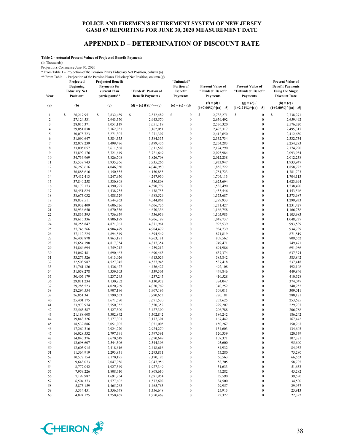# **APPENDIX D – DETERMINATION OF DISCOUNT RATE**

**Table 2 - Actuarial Present Values of Projected Benefit Payments**

(In Thousands)

Projections Commence June 30, 2020

\* From Table 1 - Projection of the Pension Plan's Fiduciary Net Position, column (a)

\*\* From Table 1 - Projection of the Pension Plan's Fiduciary Net Position, column (g)

|                  | Projected<br><b>Beginning</b><br><b>Fiduciary Net</b> | <b>Projected Benefit</b><br><b>Payments</b> for<br>current Plan | "Funded" Portion of      | "Unfunded"<br>Portion of<br><b>Benefit</b> | <b>Present Value of</b><br>"Funded" Benefit           | <b>Present Value of</b><br>"Unfunded" Benefit         | <b>Present Value of</b><br><b>Benefit Payments</b><br><b>Using the Single</b><br><b>Discount Rate</b><br>$(h) = (c) /$<br>$(1+7.00\%)^{\wedge}[(a) - .5]$ |  |
|------------------|-------------------------------------------------------|-----------------------------------------------------------------|--------------------------|--------------------------------------------|-------------------------------------------------------|-------------------------------------------------------|-----------------------------------------------------------------------------------------------------------------------------------------------------------|--|
| Year             | Position*                                             | participants**                                                  | <b>Benefit Payments</b>  | <b>Payments</b><br>$(e) = (c) - (d)$       | <b>Payments</b>                                       | Payments                                              |                                                                                                                                                           |  |
| (a)              | (b)                                                   | (c)                                                             | (d) = (c) if (b) > = (c) |                                            | $(f) = (d) /$<br>$(1+7.00\%)$ <sup>^</sup> [(a) - .5] | $(g) = (e) /$<br>$(1+2.21\%)$ <sup>^</sup> [(a) - .5] |                                                                                                                                                           |  |
| $\mathbf{1}$     | \$<br>26,217,951                                      | \$<br>2,832,489                                                 | \$<br>2,832,489          | \$<br>$\boldsymbol{0}$                     | \$<br>2,738,271                                       | \$<br>$\boldsymbol{0}$                                | \$<br>2,738,271                                                                                                                                           |  |
| $\sqrt{2}$       | 27,124,531                                            | 2,943,570                                                       | 2,943,570                | $\boldsymbol{0}$                           | 2,659,492                                             | $\boldsymbol{0}$                                      | 2,659,492                                                                                                                                                 |  |
| $\mathfrak{Z}$   | 28,015,371                                            | 3,051,119                                                       | 3,051,119                | $\boldsymbol{0}$                           | 2,576,320                                             | $\boldsymbol{0}$                                      | 2,576,320                                                                                                                                                 |  |
| $\overline{4}$   | 29,051,838                                            | 3,162,051                                                       | 3,162,051                | $\boldsymbol{0}$                           | 2,495,317                                             | $\boldsymbol{0}$                                      | 2,495,317                                                                                                                                                 |  |
| 5                | 30,078,723                                            | 3,271,307                                                       | 3,271,307                | $\boldsymbol{0}$                           | 2,412,650                                             | $\boldsymbol{0}$                                      | 2,412,650                                                                                                                                                 |  |
| 6                | 31,090,647                                            | 3,384,355                                                       | 3,384,355                | $\boldsymbol{0}$                           | 2,332,734                                             | $\boldsymbol{0}$                                      | 2,332,734                                                                                                                                                 |  |
| $\boldsymbol{7}$ | 32,078,239                                            | 3,499,476                                                       | 3,499,476                | $\boldsymbol{0}$                           | 2,254,283                                             | $\boldsymbol{0}$                                      | 2,254,283                                                                                                                                                 |  |
| $\,$ 8 $\,$      | 33,005,057                                            | 3,611,568                                                       | 3,611,568                | $\boldsymbol{0}$                           | 2,174,290                                             | $\boldsymbol{0}$                                      | 2,174,290                                                                                                                                                 |  |
| 9                | 33,892,176                                            | 3,721,649                                                       | 3,721,649                | $\boldsymbol{0}$                           | 2,093,984                                             | $\boldsymbol{0}$                                      | 2,093,984                                                                                                                                                 |  |
| 10               | 34,736,969                                            | 3,826,708                                                       | 3,826,708                | $\boldsymbol{0}$                           | 2,012,238                                             | $\boldsymbol{0}$                                      | 2,012,238                                                                                                                                                 |  |
| 11               | 35,539,743                                            | 3,935,266                                                       | 3,935,266                | $\boldsymbol{0}$                           | 1,933,947                                             | $\boldsymbol{0}$                                      | 1,933,947                                                                                                                                                 |  |
| 12               | 36,260,616                                            | 4,046,950                                                       | 4,046,950                | $\boldsymbol{0}$                           | 1,858,722                                             | $\boldsymbol{0}$<br>$\boldsymbol{0}$                  | 1,858,722                                                                                                                                                 |  |
| 13<br>14         | 36,885,616                                            | 4,150,855                                                       | 4,150,855                | $\boldsymbol{0}$<br>$\boldsymbol{0}$       | 1,781,723                                             | $\boldsymbol{0}$                                      | 1,781,723                                                                                                                                                 |  |
| 15               | 37,412,413<br>37,840,258                              | 4,247,950<br>4,330,808                                          | 4,247,950<br>4,330,808   | $\boldsymbol{0}$                           | 1,704,113<br>1,623,694                                | $\boldsymbol{0}$                                      | 1,704,113<br>1,623,694                                                                                                                                    |  |
| 16               |                                                       | 4,390,797                                                       | 4,390,797                | $\boldsymbol{0}$                           | 1,538,490                                             | $\boldsymbol{0}$                                      | 1,538,490                                                                                                                                                 |  |
| 17               | 38,179,173<br>38,451,824                              | 4,438,755                                                       | 4,438,755                | $\boldsymbol{0}$                           | 1,453,546                                             | $\boldsymbol{0}$                                      | 1,453,546                                                                                                                                                 |  |
| 18               | 38,673,032                                            | 4,488,529                                                       | 4,488,529                | $\boldsymbol{0}$                           | 1,373,687                                             | $\boldsymbol{0}$                                      | 1,373,687                                                                                                                                                 |  |
| 19               | 38,838,511                                            | 4,544,863                                                       | 4,544,863                | $\boldsymbol{0}$                           | 1,299,933                                             | $\boldsymbol{0}$                                      | 1,299,933                                                                                                                                                 |  |
| 20               | 38,932,409                                            | 4,606,726                                                       | 4,606,726                | $\boldsymbol{0}$                           | 1,231,427                                             | $\boldsymbol{0}$                                      | 1,231,427                                                                                                                                                 |  |
| 21               | 38,936,650                                            | 4,670,336                                                       | 4,670,336                | $\boldsymbol{0}$                           | 1,166,758                                             | $\boldsymbol{0}$                                      | 1,166,758                                                                                                                                                 |  |
| 22               | 38,836,395                                            | 4,736,959                                                       | 4,736,959                | $\boldsymbol{0}$                           | 1,105,983                                             | $\boldsymbol{0}$                                      | 1,105,983                                                                                                                                                 |  |
| 23               | 38,615,336                                            | 4,806,199                                                       | 4,806,199                | $\boldsymbol{0}$                           | 1,048,737                                             | $\boldsymbol{0}$                                      | 1,048,737                                                                                                                                                 |  |
| 24               | 38,255,847                                            | 4,871,961                                                       | 4,871,961                | $\boldsymbol{0}$                           | 993,539                                               | $\boldsymbol{0}$                                      | 993,539                                                                                                                                                   |  |
| 25               | 37,746,266                                            | 4,904,479                                                       | 4,904,479                | $\boldsymbol{0}$                           | 934,739                                               | $\boldsymbol{0}$                                      | 934,739                                                                                                                                                   |  |
| 26               | 37,112,225                                            | 4,894,549                                                       | 4,894,549                | $\boldsymbol{0}$                           | 871,819                                               | $\boldsymbol{0}$                                      | 871,819                                                                                                                                                   |  |
| 27               | 36,403,878                                            | 4,863,181                                                       | 4,863,181                | $\boldsymbol{0}$                           | 809,562                                               | $\boldsymbol{0}$                                      | 809,562                                                                                                                                                   |  |
| 28               | 35,654,198                                            | 4,817,354                                                       | 4,817,354                | $\boldsymbol{0}$                           | 749,471                                               | $\boldsymbol{0}$                                      | 749,471                                                                                                                                                   |  |
| 29               | 34,864,694                                            | 4,759,212                                                       | 4,759,212                | $\boldsymbol{0}$                           | 691,986                                               | $\boldsymbol{0}$                                      | 691,986                                                                                                                                                   |  |
| 30               | 34,067,481                                            | 4,690,463                                                       | 4,690,463                | $\boldsymbol{0}$                           | 637,374                                               | $\boldsymbol{0}$                                      | 637,374                                                                                                                                                   |  |
| 31               | 33,276,526                                            | 4,613,026                                                       | 4,613,026                | $\boldsymbol{0}$                           | 585,842                                               | $\boldsymbol{0}$                                      | 585,842                                                                                                                                                   |  |
| 32               | 32,503,987                                            | 4,527,945                                                       | 4,527,945                | $\boldsymbol{0}$                           | 537,418                                               | $\boldsymbol{0}$                                      | 537,418                                                                                                                                                   |  |
| 33               | 31,761,126                                            | 4,436,427                                                       | 4,436,427                | $\boldsymbol{0}$                           | 492,108                                               | $\boldsymbol{0}$                                      | 492,108                                                                                                                                                   |  |
| 34               | 31,058,278                                            | 4,339,303                                                       | 4,339,303                | $\boldsymbol{0}$                           | 449,846                                               | $\boldsymbol{0}$                                      | 449,846                                                                                                                                                   |  |
| 35               | 30,405,179                                            | 4,237,245                                                       | 4,237,245                | $\boldsymbol{0}$                           | 410,528                                               | $\boldsymbol{0}$                                      | 410,528                                                                                                                                                   |  |
| 36               | 29,811,234                                            | 4,130,952                                                       | 4,130,952                | $\boldsymbol{0}$                           | 374,047                                               | $\boldsymbol{0}$                                      | 374,047                                                                                                                                                   |  |
| 37               | 29,285,523                                            | 4,020,769                                                       | 4,020,769                | $\boldsymbol{0}$                           | 340,252                                               | $\boldsymbol{0}$                                      | 340,252                                                                                                                                                   |  |
| 38               | 28,294,554                                            | 3,907,196                                                       | 3,907,196                | $\boldsymbol{0}$                           | 309,011                                               | $\boldsymbol{0}$                                      | 309,011                                                                                                                                                   |  |
| 39               | 26,851,341                                            | 3,790,653                                                       | 3,790,653                | $\boldsymbol{0}$                           | 280,181                                               | $\boldsymbol{0}$                                      | 280,181                                                                                                                                                   |  |
| 40               | 25,401,175                                            | 3,671,570                                                       | 3,671,570                | $\boldsymbol{0}$                           | 253,625                                               | $\boldsymbol{0}$                                      | 253,625                                                                                                                                                   |  |
| 41               | 23,970,974                                            | 3,550,352                                                       | 3,550,352                | $\boldsymbol{0}$                           | 229,207                                               | $\boldsymbol{0}$                                      | 229,207                                                                                                                                                   |  |
| 42               | 22,565,587                                            | 3,427,300                                                       | 3,427,300                | $\boldsymbol{0}$                           | 206,788                                               | $\boldsymbol{0}$                                      | 206,788                                                                                                                                                   |  |
| 43               | 21,188,608                                            | 3,302,842                                                       | 3,302,842                | $\boldsymbol{0}$                           | 186,242                                               | $\boldsymbol{0}$                                      | 186,242                                                                                                                                                   |  |
| 44               | 19,843,326                                            | 3,177,301                                                       | 3,177,301                | $\boldsymbol{0}$                           | 167,442                                               | $\boldsymbol{0}$                                      | 167,442                                                                                                                                                   |  |
| 45               | 18,532,886                                            | 3,051,005                                                       | 3,051,005                | $\boldsymbol{0}$                           | 150,267                                               | $\boldsymbol{0}$                                      | 150,267                                                                                                                                                   |  |
| 46               | 17,260,316                                            | 2,924,270                                                       | 2,924,270                | $\boldsymbol{0}$                           | 134,603                                               | $\overline{0}$                                        | 134,603                                                                                                                                                   |  |
| 47               | 16,028,532                                            | 2,797,391                                                       | 2,797,391                | $\mathbf{0}$                               | 120,339                                               | 0                                                     | 120,339                                                                                                                                                   |  |
| 48               | 14,840,376                                            | 2,670,649                                                       | 2,670,649                | $\boldsymbol{0}$                           | 107,371                                               | 0                                                     | 107,371                                                                                                                                                   |  |
| 49               | 13,698,607<br>12,605,915                              | 2,544,306<br>2,418,616                                          | 2,544,306                | $\boldsymbol{0}$                           | 95,600                                                | 0                                                     | 95,600                                                                                                                                                    |  |
| 50               |                                                       |                                                                 | 2,418,616                | $\boldsymbol{0}$                           | 84,932                                                | 0                                                     | 84,932                                                                                                                                                    |  |
| 51<br>52         | 11,564,919<br>10,578,154                              | 2,293,831<br>2,170,195                                          | 2,293,831<br>2,170,195   | $\boldsymbol{0}$<br>$\boldsymbol{0}$       | 75,280<br>66,563                                      | 0<br>0                                                | 75,280<br>66,563                                                                                                                                          |  |
| 53               | 9,648,073                                             | 2,047,956                                                       | 2,047,956                | $\boldsymbol{0}$                           | 58,705                                                | 0                                                     | 58,705                                                                                                                                                    |  |
| 54               | 8,777,042                                             | 1,927,349                                                       | 1,927,349                | $\boldsymbol{0}$                           | 51,633                                                | 0                                                     | 51,633                                                                                                                                                    |  |
| 55               | 7,959,226                                             | 1,808,610                                                       | 1,808,610                | $\boldsymbol{0}$                           | 45,282                                                | 0                                                     | 45,282                                                                                                                                                    |  |
| 56               | 7,199,987                                             | 1,691,954                                                       | 1,691,954                | $\boldsymbol{0}$                           | 39,590                                                | 0                                                     | 39,590                                                                                                                                                    |  |
| 57               | 6,504,373                                             | 1,577,602                                                       | 1,577,602                | $\boldsymbol{0}$                           | 34,500                                                | 0                                                     | 34,500                                                                                                                                                    |  |
| 58               | 5,875,159                                             | 1,465,763                                                       | 1,465,763                | $\boldsymbol{0}$                           | 29,957                                                | 0                                                     | 29,957                                                                                                                                                    |  |
| 59               | 5,314,451                                             | 1,356,648                                                       | 1,356,648                | $\boldsymbol{0}$                           | 25,913                                                | $\boldsymbol{0}$                                      | 25,913                                                                                                                                                    |  |
| 60               | 4,824,125                                             | 1,250,467                                                       | 1,250,467                | $\boldsymbol{0}$                           | 22,322                                                | $\boldsymbol{0}$                                      | 22,322                                                                                                                                                    |  |
|                  |                                                       |                                                                 |                          |                                            |                                                       |                                                       |                                                                                                                                                           |  |

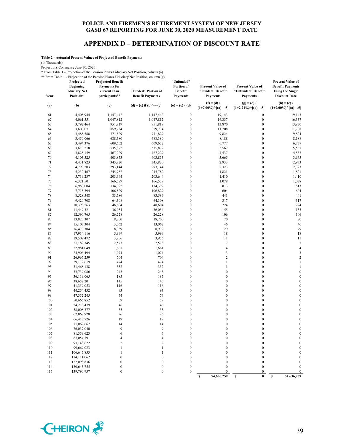#### **APPENDIX D – DETERMINATION OF DISCOUNT RATE**

**Table 2 - Actuarial Present Values of Projected Benefit Payments**

(In Thousands)

Projections Commence June 30, 2020

\* From Table 1 - Projection of the Pension Plan's Fiduciary Net Position, column (a)

\*\* From Table 1 - Projection of the Pension Plan's Fiduciary Net Position, column (g) **Year Projected Beginning Fiduciary Net Position\* Projected Benefit Payments for current Plan participants\*\* "Funded" Portion of Benefit Payments "Unfunded" Portion of Benefit Payments Present Value of "Funded" Benefit Payments Present Value of "Unfunded" Benefit Payments Present Value of Benefit Payments Using the Single Discount Rate** (a) (b) (c) (c)  $(d) = (c)$  if  $(b) > = (c)$  (e)  $= (c) - (d)$   $(1) = 0.01 \times 10^{-1}$ **(1+7.00%)^[(a) - .5]**  $(g) = (e) /$ **(1+2.21%)^[(a) - .5]**  $(h) = (c) /$ **(1+7.00%)^[(a) - .5]** 61 4,405,944 1,147,442 1,147,442 0 19,143 0 19,143 62 4,061,551 1,047,812 1,047,812 0 16,337 0 16,337 63 3,792,464 951,819 951,819 0 13,870 0 13,870 64 3,600,071 859,734 859,734 0 11,708 0 11,708 65 3,485,588 771,829 771,829 0 9,824 0 9,824 66 3,450,066 688,380 688,380 0 8,188 0 8,188 67 3,494,376 609,652 609,652 0 6,777 0 6,777 68 3,619,218 535,872 535,872 0 5,567 0 5,567 69 3,825,159 467,229 467,229 0 4,537 0 4,537 70 4,103,525 403,853 403,853 0 3,665 0 3,665 71 4,431,823 345,820 345,820 0 2,933 0 2,933 72 4,799,203 293,144 293,144 0 2,323 0 2,323 73 5,232,467 245,782 245,782 0 1,821 0 1,821 74 5,739,237 203,644 203,644 0 1,410 0 1,410 75 6,321,501 166,579 166,579 0 1,078 0 1,078 76 6,980,004 134,392 134,392 0 813 0 813 77 7,715,394 106,829 106,829 0 604 0 604 78 8,528,548 83,586 83,586 0 441 0 441 79 9,420,708 64,308 64,308 0 317 0 317 80 10,393,563 48,604 48,604 0 224 0 224 81 11,449,321 36,054 36,054 0 155 0 155 82 12,590,765 26,228 26,228 0 106 0 106 83 13,820,307 18,700 18,700 0 70 0 70 84 15,103,304 13,062 13,062 0 46 0 46 85 16,470,304 8,939 8,939 0 29 0 29 86 17,934,116 5,999 5,999 0 18 0 18 87 19,502,472 3,956 3,956 0 11 0 11 88 21,182,345 2,573 2,573 0 7 0 7 89 22,981,049 1,661 1,661 0 4 0 4 90 24,906,494 1,074 1,074 0 3 0 3 91 26,967,259 704 704 0 2 0 2 92 29,172,619 474 474 0 1 0 1 93 31,468,138 332 332 0 1 0 1 94 33,739,086 243 243 0 0 0 0 0 95 36,119,065 185 185 0 0 0 0 0 96 38,652,201 145 145 0 0 0 0 0 97 41,359,053 116 116 0 0 0 0 0 98 44,254,432 93 93 0 0 0 0 0 99 47,352,245 74 74 0 0 0 0 100 50,666,852 59 59 0 0 0 0 0 101 54,213,479 46 46 0 0 0 0 0 102 58,008,377 35 35 0 0 0 0 0 103 62,068,928 26 26 0 0 0 0 0 104 66,413,726 19 19 0 0 0 0 105 71,062,667 14 14 0 0 0 0 0 106 76,037,040 9 9 0 0 0 0 0 107 81,359,623 6 6 6 0 0 0 0 0 108 87,054,791 4 4 0 0 0 0 0 109 93,148,622 2 2 0 0 0 0  $110$   $99,669,023$   $1$   $1$  0 0 0 0 0  $111$   $106,645,853$  1 1 0 0 0 0 0 112 114,111,062 0 0 0 0 0 0 0 113 122,098,836 0 0 0 0 0 0 0 0 114 130,645,755 0 0 0 0 0 0 0 0 115 139,790,957 0 0 0 0 0 0 0 0 **\$ 0 54,636,259 \$ 54,636,259 \$** 

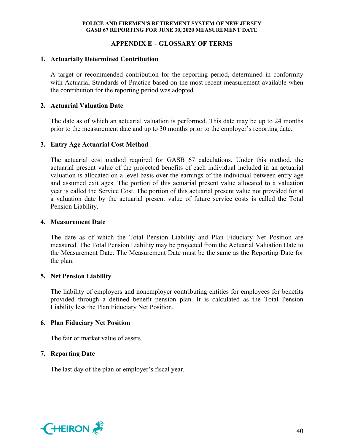# **APPENDIX E – GLOSSARY OF TERMS**

# **1. Actuarially Determined Contribution**

A target or recommended contribution for the reporting period, determined in conformity with Actuarial Standards of Practice based on the most recent measurement available when the contribution for the reporting period was adopted.

# **2. Actuarial Valuation Date**

The date as of which an actuarial valuation is performed. This date may be up to 24 months prior to the measurement date and up to 30 months prior to the employer's reporting date.

# **3. Entry Age Actuarial Cost Method**

The actuarial cost method required for GASB 67 calculations. Under this method, the actuarial present value of the projected benefits of each individual included in an actuarial valuation is allocated on a level basis over the earnings of the individual between entry age and assumed exit ages. The portion of this actuarial present value allocated to a valuation year is called the Service Cost. The portion of this actuarial present value not provided for at a valuation date by the actuarial present value of future service costs is called the Total Pension Liability.

# **4. Measurement Date**

The date as of which the Total Pension Liability and Plan Fiduciary Net Position are measured. The Total Pension Liability may be projected from the Actuarial Valuation Date to the Measurement Date. The Measurement Date must be the same as the Reporting Date for the plan.

# **5. Net Pension Liability**

The liability of employers and nonemployer contributing entities for employees for benefits provided through a defined benefit pension plan. It is calculated as the Total Pension Liability less the Plan Fiduciary Net Position.

# **6. Plan Fiduciary Net Position**

The fair or market value of assets.

# **7. Reporting Date**

The last day of the plan or employer's fiscal year.